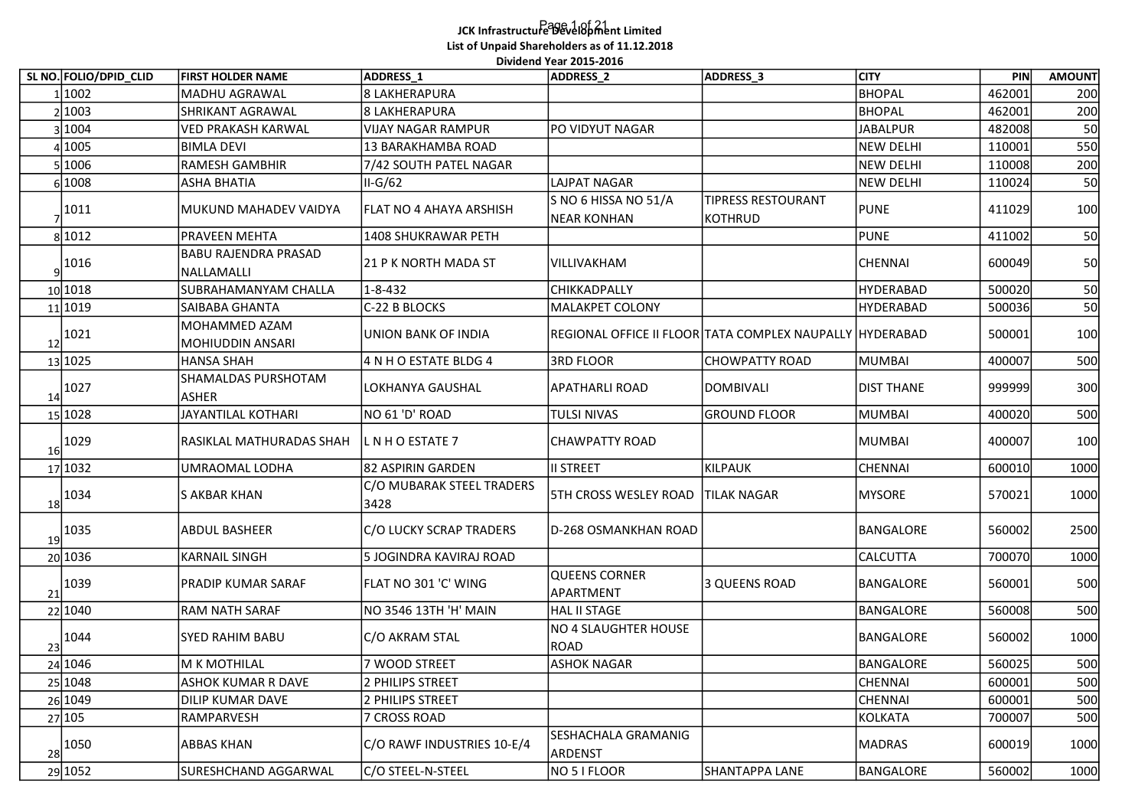## Page 1 of 21 JCK Infrastructure Development Limited List of Unpaid Shareholders as of 11.12.2018 Dividend Year 2015-2016

|    | SL NO. FOLIO/DPID_CLID | <b>FIRST HOLDER NAME</b>                  | ADDRESS_1                         | Dividend Year 2015-2016<br>ADDRESS <sub>2</sub> | ADDRESS_3                                                | <b>CITY</b>               | PIN              | <b>AMOUNT</b> |
|----|------------------------|-------------------------------------------|-----------------------------------|-------------------------------------------------|----------------------------------------------------------|---------------------------|------------------|---------------|
|    | 1 1002                 | MADHU AGRAWAL                             | 8 LAKHERAPURA                     |                                                 |                                                          | <b>BHOPAL</b>             | 462001           | 200           |
|    | 2 1003                 | SHRIKANT AGRAWAL                          | 8 LAKHERAPURA                     |                                                 |                                                          | <b>BHOPAL</b>             | 462001           | 200           |
|    | 3 1004                 | <b>VED PRAKASH KARWAL</b>                 | VIJAY NAGAR RAMPUR                | PO VIDYUT NAGAR                                 |                                                          | <b>JABALPUR</b>           | 482008           | 50            |
|    | 41005                  | BIMLA DEVI                                | 13 BARAKHAMBA ROAD                |                                                 |                                                          | <b>NEW DELHI</b>          | 110001           | 550           |
|    | 51006                  | <b>RAMESH GAMBHIR</b>                     | 7/42 SOUTH PATEL NAGAR            |                                                 |                                                          | <b>NEW DELHI</b>          | 110008           | 200           |
|    | 6 1008                 | <b>ASHA BHATIA</b>                        | II-G/62                           | LAJPAT NAGAR                                    |                                                          | <b>NEW DELHI</b>          | 110024           | 50            |
|    | 1011                   | MUKUND MAHADEV VAIDYA                     | <b>FLAT NO 4 AHAYA ARSHISH</b>    | S NO 6 HISSA NO 51/A<br><b>NEAR KONHAN</b>      | <b>TIPRESS RESTOURANT</b><br><b>KOTHRUD</b>              | <b>PUNE</b>               | 411029           | 100           |
|    | 8 1012                 | PRAVEEN MEHTA                             | 1408 SHUKRAWAR PETH               |                                                 |                                                          | <b>PUNE</b>               | 411002           | 50            |
|    | $\frac{1016}{ }$       | <b>BABU RAJENDRA PRASAD</b><br>NALLAMALLI | 21 P K NORTH MADA ST              | VILLIVAKHAM                                     |                                                          | CHENNAI                   | 600049           | 50            |
|    | 10 10 18               | SUBRAHAMANYAM CHALLA                      | $1 - 8 - 432$                     | <b>CHIKKADPALLY</b>                             |                                                          | <b>HYDERABAD</b>          | 500020           | 50            |
|    | 11 1019                | SAIBABA GHANTA                            | C-22 B BLOCKS                     | MALAKPET COLONY                                 |                                                          | <b>HYDERABAD</b>          | 500036           | 50            |
| 12 | 1021                   | MOHAMMED AZAM<br>MOHIUDDIN ANSARI         | <b>UNION BANK OF INDIA</b>        |                                                 | REGIONAL OFFICE II FLOOR TATA COMPLEX NAUPALLY HYDERABAD |                           | 500001           | 100           |
|    | 13 1025                | HANSA SHAH                                | 4 N H O ESTATE BLDG 4             | 3RD FLOOR                                       | <b>CHOWPATTY ROAD</b>                                    | MUMBAI                    | 400007           | 500           |
|    | $14^{1027}$            | SHAMALDAS PURSHOTAM<br>ASHER              | LOKHANYA GAUSHAL                  | <b>APATHARLI ROAD</b>                           | DOMBIVALI                                                | <b>DIST THANE</b>         | 999999           | 300           |
|    | 15 1028                | <b>JAYANTILAL KOTHARI</b>                 | NO 61 'D' ROAD                    | <b>TULSI NIVAS</b>                              | <b>GROUND FLOOR</b>                                      | <b>MUMBAI</b>             | 400020           | 500           |
| 16 | 1029                   | RASIKLAL MATHURADAS SHAH                  | <b>LNHO ESTATE 7</b>              | CHAWPATTY ROAD                                  |                                                          | <b>MUMBAI</b>             | 400007           | 100           |
|    | 17 1032                | UMRAOMAL LODHA                            | 82 ASPIRIN GARDEN                 | II STREET                                       | KILPAUK                                                  | CHENNAI                   | 600010           | 1000          |
|    | $18^{1034}$            | S AKBAR KHAN                              | C/O MUBARAK STEEL TRADERS<br>3428 | <b>5TH CROSS WESLEY ROAD TILAK NAGAR</b>        |                                                          | <b>MYSORE</b>             | 570021           | 1000          |
|    | 19 1035                | <b>ABDUL BASHEER</b>                      | C/O LUCKY SCRAP TRADERS           | D-268 OSMANKHAN ROAD                            |                                                          | BANGALORE                 | 560002           | 2500          |
|    | 20 1036                | <b>KARNAIL SINGH</b>                      | 5 JOGINDRA KAVIRAJ ROAD           |                                                 |                                                          | <b>CALCUTTA</b>           | 700070           | 1000          |
|    | $\frac{21}{1039}$      | PRADIP KUMAR SARAF                        | FLAT NO 301 'C' WING              | QUEENS CORNER<br>APARTMENT                      | 3 QUEENS ROAD                                            | BANGALORE                 | 560001           | 500           |
|    | 22 1040                | <b>RAM NATH SARAF</b>                     | NO 3546 13TH 'H' MAIN             | HAL II STAGE                                    |                                                          | <b>BANGALORE</b>          | 560008           | 500           |
|    | $23^{1044}$            | SYED RAHIM BABU                           | C/O AKRAM STAL                    | NO 4 SLAUGHTER HOUSE<br>ROAD                    |                                                          | BANGALORE                 | 560002           | 1000          |
|    | 24 1046                | M K MOTHILAL                              | 7 WOOD STREET                     | <b>ASHOK NAGAR</b>                              |                                                          | BANGALORE                 | 560025           | 500           |
|    | 25 1048                | <b>ASHOK KUMAR R DAVE</b>                 | 2 PHILIPS STREET                  |                                                 |                                                          | CHENNAI                   | 600001           | 500           |
|    | 26 1049<br>27 105      | DILIP KUMAR DAVE<br>RAMPARVESH            | 2 PHILIPS STREET<br>7 CROSS ROAD  |                                                 |                                                          | CHENNAI<br><b>KOLKATA</b> | 600001<br>700007 | 500<br>500    |
|    |                        |                                           |                                   | SESHACHALA GRAMANIG                             |                                                          |                           |                  |               |
|    | $\frac{28}{1050}$      | <b>ABBAS KHAN</b>                         | C/O RAWF INDUSTRIES 10-E/4        | ARDENST                                         |                                                          | <b>MADRAS</b>             | 600019           | 1000          |
|    | 29 1052                | SURESHCHAND AGGARWAL                      | C/O STEEL-N-STEEL                 | NO 5 I FLOOR                                    | SHANTAPPA LANE                                           | BANGALORE                 | 560002           | 1000          |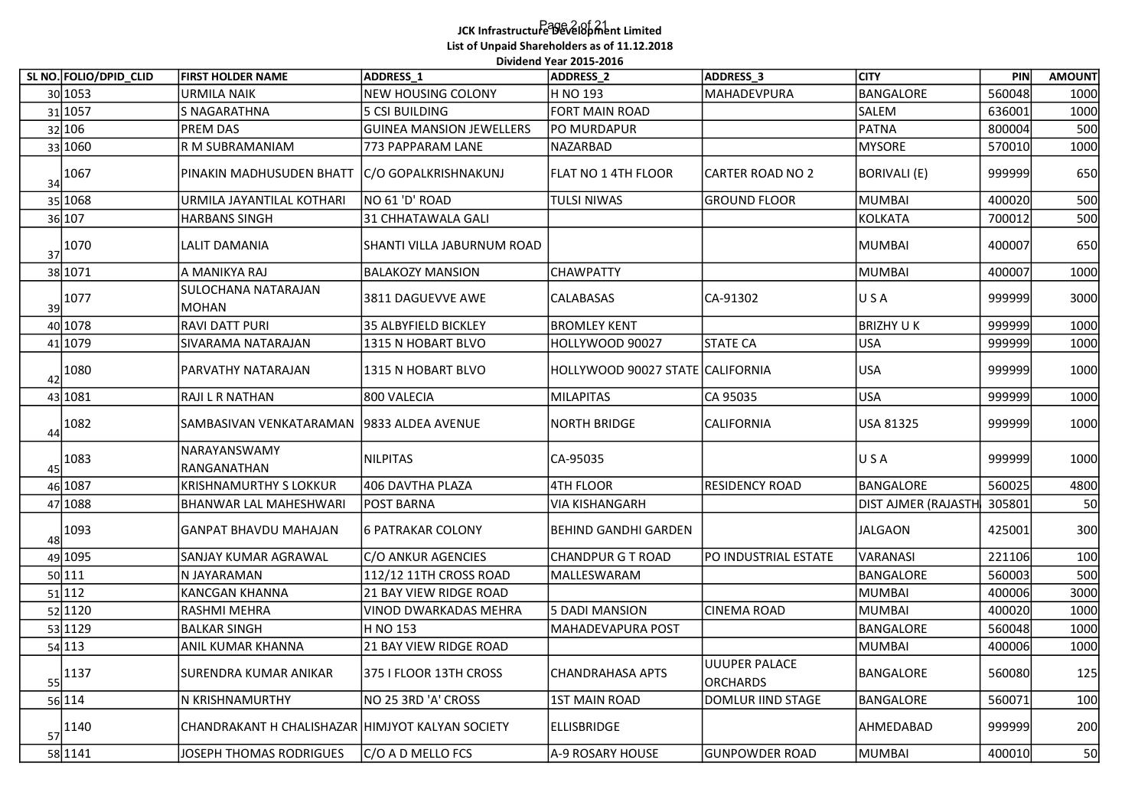## Page 2 of 21 JCK Infrastructure Development Limited List of Unpaid Shareholders as of 11.12.2018 Dividend Year 2015-2016

| SL NO. FOLIO/DPID_CLID | <b>FIRST HOLDER NAME</b>                         | ADDRESS 1                       | Dividend Year 2015-2016<br>ADDRESS_2 | ADDRESS_3                 | <b>CITY</b>                | PIN    | <b>AMOUNT</b> |
|------------------------|--------------------------------------------------|---------------------------------|--------------------------------------|---------------------------|----------------------------|--------|---------------|
| 30 1053                | <b>URMILA NAIK</b>                               | NEW HOUSING COLONY              | H NO 193                             | MAHADEVPURA               | BANGALORE                  | 560048 | 1000          |
| 31 1057                | S NAGARATHNA                                     | 5 CSI BUILDING                  | FORT MAIN ROAD                       |                           | SALEM                      | 636001 | 1000          |
| 32 106                 | <b>PREM DAS</b>                                  | <b>GUINEA MANSION JEWELLERS</b> | PO MURDAPUR                          |                           | <b>PATNA</b>               | 800004 | 500           |
| 33 1060                | R M SUBRAMANIAM                                  | 773 PAPPARAM LANE               | NAZARBAD                             |                           | <b>MYSORE</b>              | 570010 | 1000          |
| $34^{1067}$            | PINAKIN MADHUSUDEN BHATT  C/O GOPALKRISHNAKUNJ   |                                 | FLAT NO 1 4TH FLOOR                  | CARTER ROAD NO 2          | BORIVALI (E)               | 999999 | 650           |
| 35 1068                | URMILA JAYANTILAL KOTHARI                        | NO 61 'D' ROAD                  | <b>TULSI NIWAS</b>                   | <b>GROUND FLOOR</b>       | <b>MUMBAI</b>              | 400020 | 500           |
| 36 107                 | <b>HARBANS SINGH</b>                             | 31 CHHATAWALA GALI              |                                      |                           | KOLKATA                    | 700012 | 500           |
| $\frac{37}{1070}$      | <b>LALIT DAMANIA</b>                             | SHANTI VILLA JABURNUM ROAD      |                                      |                           | <b>MUMBAI</b>              | 400007 | 650           |
| 38 1071                | A MANIKYA RAJ                                    | <b>BALAKOZY MANSION</b>         | <b>CHAWPATTY</b>                     |                           | <b>MUMBAI</b>              | 400007 | 1000          |
| 39 1077                | SULOCHANA NATARAJAN<br>MOHAN                     | 3811 DAGUEVVE AWE               | <b>CALABASAS</b>                     | CA-91302                  | USA                        | 999999 | 3000          |
| 40 1078                | RAVI DATT PURI                                   | 35 ALBYFIELD BICKLEY            | <b>BROMLEY KENT</b>                  |                           | <b>BRIZHY UK</b>           | 999999 | 1000          |
| 41 1079                | SIVARAMA NATARAJAN                               | 1315 N HOBART BLVO              | HOLLYWOOD 90027                      | <b>STATE CA</b>           | <b>USA</b>                 | 999999 | 1000          |
| $42^{1080}$            | PARVATHY NATARAJAN                               | 1315 N HOBART BLVO              | HOLLYWOOD 90027 STATE CALIFORNIA     |                           | <b>USA</b>                 | 999999 | 1000          |
| 43 1081                | RAJI L R NATHAN                                  | 800 VALECIA                     | MILAPITAS                            | CA 95035                  | <b>USA</b>                 | 999999 | 1000          |
| 44 1082                | SAMBASIVAN VENKATARAMAN   9833 ALDEA AVENUE      |                                 | NORTH BRIDGE                         | CALIFORNIA                | USA 81325                  | 999999 | 1000          |
| 45 1083                | NARAYANSWAMY<br>RANGANATHAN                      | NILPITAS                        | CA-95035                             |                           | USA                        | 999999 | 1000          |
| 46 1087                | <b>KRISHNAMURTHY S LOKKUR</b>                    | 406 DAVTHA PLAZA                | 4TH FLOOR                            | RESIDENCY ROAD            | BANGALORE                  | 560025 | 4800          |
| 47 1088                | <b>BHANWAR LAL MAHESHWARI</b>                    | <b>POST BARNA</b>               | <b>VIA KISHANGARH</b>                |                           | <b>DIST AJMER (RAJASTH</b> | 305801 | 50            |
| $48^{1093}$            | <b>GANPAT BHAVDU MAHAJAN</b>                     | 6 PATRAKAR COLONY               | BEHIND GANDHI GARDEN                 |                           | <b>JALGAON</b>             | 425001 | 300           |
| 49 1095                | <b>SANJAY KUMAR AGRAWAL</b>                      | C/O ANKUR AGENCIES              | <b>CHANDPUR G T ROAD</b>             | PO INDUSTRIAL ESTATE      | VARANASI                   | 221106 | 100           |
| 50 111                 | N JAYARAMAN                                      | 112/12 11TH CROSS ROAD          | MALLESWARAM                          |                           | BANGALORE                  | 560003 | 500           |
| 51 112                 | <b>KANCGAN KHANNA</b>                            | 21 BAY VIEW RIDGE ROAD          |                                      |                           | <b>MUMBAI</b>              | 400006 | 3000          |
| 52 1120                | <b>RASHMI MEHRA</b>                              | VINOD DWARKADAS MEHRA           | <b>5 DADI MANSION</b>                | <b>CINEMA ROAD</b>        | <b>MUMBAI</b>              | 400020 | 1000          |
| 53 1129                | BALKAR SINGH                                     | H NO 153                        | MAHADEVAPURA POST                    |                           | <b>BANGALORE</b>           | 560048 | 1000          |
| 54 113                 | ANIL KUMAR KHANNA                                | 21 BAY VIEW RIDGE ROAD          |                                      |                           | <b>MUMBAI</b>              | 400006 | 1000          |
| $\frac{55}{1137}$      | SURENDRA KUMAR ANIKAR                            | 375 I FLOOR 13TH CROSS          | CHANDRAHASA APTS                     | UUUPER PALACE<br>ORCHARDS | BANGALORE                  | 560080 | 125           |
| 56 114                 | N KRISHNAMURTHY                                  | NO 25 3RD 'A' CROSS             | <b>1ST MAIN ROAD</b>                 | DOMLUR IIND STAGE         | BANGALORE                  | 560071 | 100           |
| $\frac{57}{1140}$      | CHANDRAKANT H CHALISHAZAR HIMJYOT KALYAN SOCIETY |                                 | <b>ELLISBRIDGE</b>                   |                           | AHMEDABAD                  | 999999 | 200           |
| 58 1141                | JOSEPH THOMAS RODRIGUES                          | C/O A D MELLO FCS               | A-9 ROSARY HOUSE                     | <b>GUNPOWDER ROAD</b>     | <b>MUMBAI</b>              | 400010 | 50            |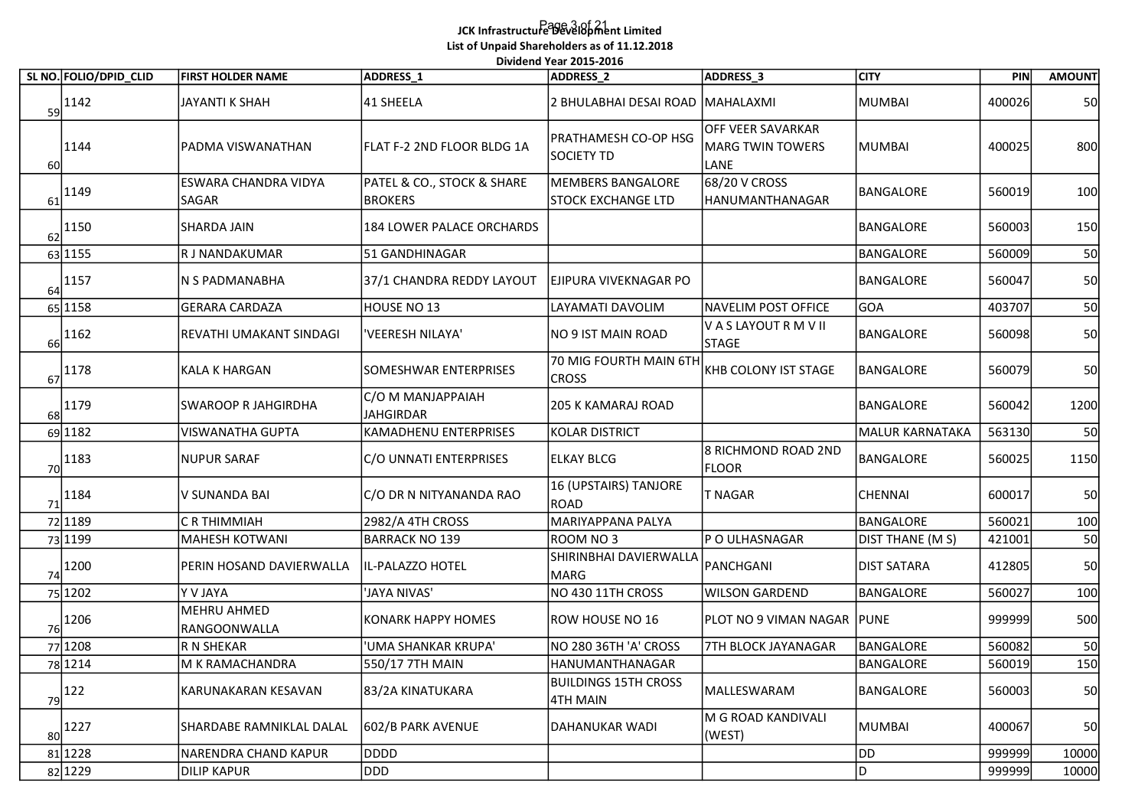## Page 3 of 21 JCK Infrastructure Development Limited List of Unpaid Shareholders as of 11.12.2018 .<br>Dividend Year 2015-2016

|    |                        |                             |                            | Dividend Year 2015-2016                                     |                                     |                         | PIN    |               |
|----|------------------------|-----------------------------|----------------------------|-------------------------------------------------------------|-------------------------------------|-------------------------|--------|---------------|
|    | SL NO. FOLIO/DPID_CLID | <b>FIRST HOLDER NAME</b>    | ADDRESS_1                  | <b>ADDRESS 2</b>                                            | ADDRESS_3                           | <b>CITY</b>             |        | <b>AMOUNT</b> |
|    | $\frac{1142}{29}$      | JAYANTI K SHAH              | 41 SHEELA                  | 2 BHULABHAI DESAI ROAD MAHALAXMI                            |                                     | <b>MUMBAI</b>           | 400026 | 50            |
|    |                        |                             |                            | PRATHAMESH CO-OP HSG                                        | OFF VEER SAVARKAR                   |                         |        |               |
|    | 1144                   | PADMA VISWANATHAN           | FLAT F-2 2ND FLOOR BLDG 1A | <b>SOCIETY TD</b>                                           | <b>MARG TWIN TOWERS</b>             | MUMBAI                  | 400025 | 800           |
| 60 |                        | <b>ESWARA CHANDRA VIDYA</b> | PATEL & CO., STOCK & SHARE | <b>MEMBERS BANGALORE</b>                                    | LANE<br>68/20 V CROSS               |                         |        |               |
| 61 | 1149                   | SAGAR                       | <b>BROKERS</b>             | STOCK EXCHANGE LTD                                          | HANUMANTHANAGAR                     | BANGALORE               | 560019 | 100           |
|    | 1150                   | SHARDA JAIN                 | 184 LOWER PALACE ORCHARDS  |                                                             |                                     | BANGALORE               | 560003 | 150           |
| 62 |                        |                             |                            |                                                             |                                     |                         |        |               |
|    | 63 1155                | R J NANDAKUMAR              | 51 GANDHINAGAR             |                                                             |                                     | <b>BANGALORE</b>        | 560009 | 50            |
| 64 | 1157                   | N S PADMANABHA              | 37/1 CHANDRA REDDY LAYOUT  | EJIPURA VIVEKNAGAR PO                                       |                                     | BANGALORE               | 560047 | 50            |
|    | 65 1158                | <b>GERARA CARDAZA</b>       | HOUSE NO 13                | LAYAMATI DAVOLIM                                            | NAVELIM POST OFFICE                 | GOA                     | 403707 | 50            |
|    | 1162                   | REVATHI UMAKANT SINDAGI     | 'VEERESH NILAYA'           | NO 9 IST MAIN ROAD                                          | V A S LAYOUT R M V II               | BANGALORE               | 560098 | 50            |
| 66 |                        |                             |                            |                                                             | <b>STAGE</b>                        |                         |        |               |
| 67 | 1178                   | KALA K HARGAN               | SOMESHWAR ENTERPRISES      | 70 MIG FOURTH MAIN 6TH KHB COLONY IST STAGE<br><b>CROSS</b> |                                     | BANGALORE               | 560079 | 50            |
|    |                        |                             | C/O M MANJAPPAIAH          |                                                             |                                     |                         |        |               |
| 68 | 1179                   | <b>SWAROOP R JAHGIRDHA</b>  | <b>JAHGIRDAR</b>           | <b>205 K KAMARAJ ROAD</b>                                   |                                     | BANGALORE               | 560042 | 1200          |
|    | 69 1182                | VISWANATHA GUPTA            | KAMADHENU ENTERPRISES      | <b>KOLAR DISTRICT</b>                                       |                                     | <b>MALUR KARNATAKA</b>  | 563130 | 50            |
| 70 | $\vert$ 1183           | <b>NUPUR SARAF</b>          | C/O UNNATI ENTERPRISES     | <b>ELKAY BLCG</b>                                           | 8 RICHMOND ROAD 2ND<br><b>FLOOR</b> | BANGALORE               | 560025 | 1150          |
|    |                        |                             |                            | 16 (UPSTAIRS) TANJORE                                       |                                     |                         |        |               |
|    | $\frac{71}{11}$ 1184   | V SUNANDA BAI               | C/O DR N NITYANANDA RAO    | ROAD                                                        | <b>T NAGAR</b>                      | <b>CHENNAI</b>          | 600017 | 50            |
|    | 72 1189                | C R THIMMIAH                | 2982/A 4TH CROSS           | MARIYAPPANA PALYA                                           |                                     | <b>BANGALORE</b>        | 560021 | 100           |
|    | 73 1199                | <b>MAHESH KOTWANI</b>       | <b>BARRACK NO 139</b>      | ROOM NO 3                                                   | P O ULHASNAGAR                      | <b>DIST THANE (M S)</b> | 421001 | 50            |
|    | 1200                   | PERIN HOSAND DAVIERWALLA    | IL-PALAZZO HOTEL           | SHIRINBHAI DAVIERWALLA<br><b>MARG</b>                       | PANCHGANI                           | <b>DIST SATARA</b>      | 412805 | 50            |
| 74 | 75 1202                | Y V JAYA                    | 'JAYA NIVAS'               | NO 430 11TH CROSS                                           | <b>WILSON GARDEND</b>               | BANGALORE               | 560027 | 100           |
|    |                        | MEHRU AHMED                 |                            |                                                             |                                     |                         |        |               |
| 76 | $\vert$ 1206           | RANGOONWALLA                | <b>KONARK HAPPY HOMES</b>  | ROW HOUSE NO 16                                             | PLOT NO 9 VIMAN NAGAR   PUNE        |                         | 999999 | 500           |
|    | 77 1208                | R N SHEKAR                  | 'UMA SHANKAR KRUPA'        | NO 280 36TH 'A' CROSS                                       | 7TH BLOCK JAYANAGAR                 | BANGALORE               | 560082 | 50            |
|    | 78 1214                | M K RAMACHANDRA             | 550/17 7TH MAIN            | HANUMANTHANAGAR                                             |                                     | BANGALORE               | 560019 | 150           |
| 79 | $ 122\rangle$          | KARUNAKARAN KESAVAN         | 83/2A KINATUKARA           | <b>BUILDINGS 15TH CROSS</b><br>4TH MAIN                     | MALLESWARAM                         | BANGALORE               | 560003 | 50            |
|    |                        |                             |                            |                                                             | M G ROAD KANDIVALI                  |                         |        |               |
| 80 | 1227                   | SHARDABE RAMNIKLAL DALAL    | 602/B PARK AVENUE          | DAHANUKAR WADI                                              | (WEST)                              | MUMBAI                  | 400067 | 50            |
|    | 81 1228                | NARENDRA CHAND KAPUR        | DDDD                       |                                                             |                                     | DD                      | 999999 | 10000         |
|    | 82 1229                | <b>DILIP KAPUR</b>          | DDD                        |                                                             |                                     |                         | 999999 | 10000         |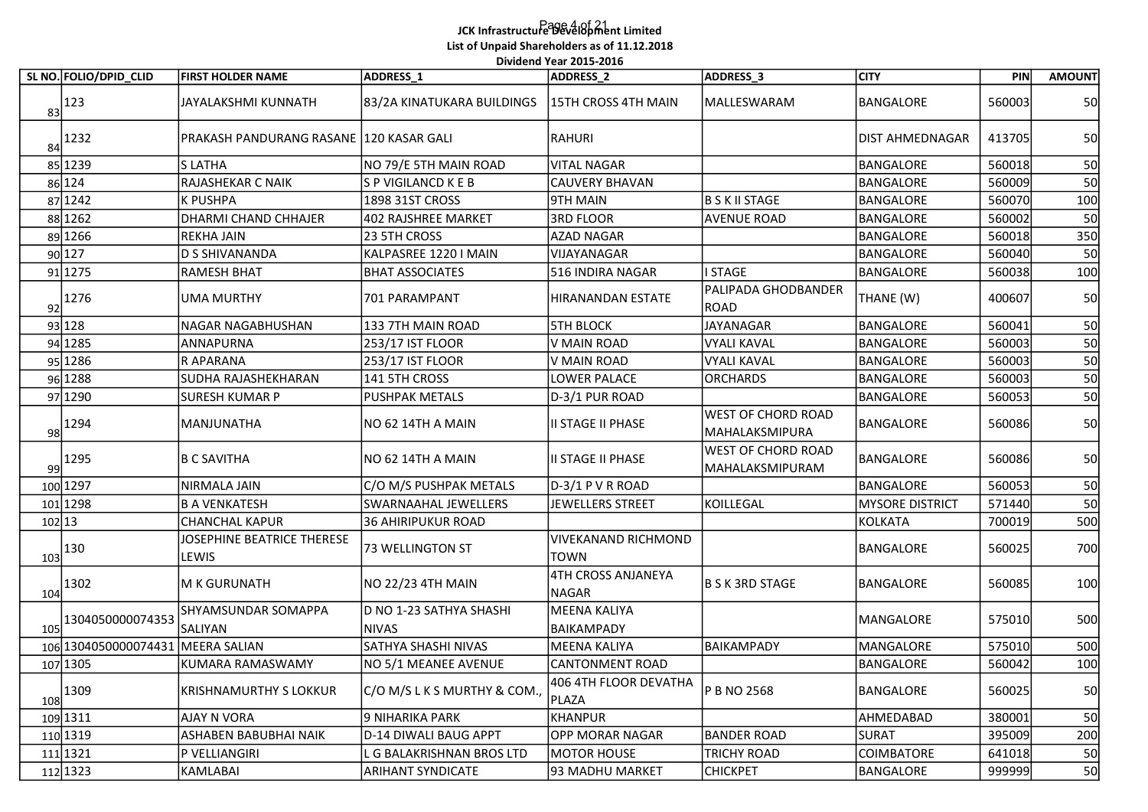# Page 4 of 21 JCK Infrastructure Development Limited List of Unpaid Shareholders as of 11.12.2018

|    |                                                       |                                            |                                         | Dividend Year 2015-2016        |                                                     |                        |        |               |
|----|-------------------------------------------------------|--------------------------------------------|-----------------------------------------|--------------------------------|-----------------------------------------------------|------------------------|--------|---------------|
|    | SL NO. FOLIO/DPID_CLID                                | <b>FIRST HOLDER NAME</b>                   | ADDRESS 1                               | <b>ADDRESS 2</b>               | ADDRESS_3                                           | <b>CITY</b>            | PIN    | <b>AMOUNT</b> |
|    | $83$ <sup>123</sup>                                   | JAYALAKSHMI KUNNATH                        | 83/2A KINATUKARA BUILDINGS              | 15TH CROSS 4TH MAIN            | MALLESWARAM                                         | <b>BANGALORE</b>       | 560003 | 50            |
|    | $84$ <sup>1232</sup>                                  | PRAKASH PANDURANG RASANE   120 KASAR GALI  |                                         | RAHURI                         |                                                     | <b>DIST AHMEDNAGAR</b> | 413705 | 50            |
|    | 85 1239                                               | <b>S LATHA</b>                             | NO 79/E 5TH MAIN ROAD                   | <b>VITAL NAGAR</b>             |                                                     | <b>BANGALORE</b>       | 560018 | 50            |
|    | 86 124                                                | RAJASHEKAR C NAIK                          | S P VIGILANCD K E B                     | CAUVERY BHAVAN                 |                                                     | <b>BANGALORE</b>       | 560009 | 50            |
|    | 87 1242                                               | K PUSHPA                                   | 1898 31ST CROSS                         | 9TH MAIN                       | <b>B S K II STAGE</b>                               | <b>BANGALORE</b>       | 560070 | 100           |
|    | 88 1262                                               | DHARMI CHAND CHHAJER                       | 402 RAJSHREE MARKET                     | 3RD FLOOR                      | <b>AVENUE ROAD</b>                                  | <b>BANGALORE</b>       | 560002 | 50            |
|    | 89 1266                                               | <b>REKHA JAIN</b>                          | 23 5TH CROSS                            | AZAD NAGAR                     |                                                     | <b>BANGALORE</b>       | 560018 | 350           |
|    | 90 127                                                | D S SHIVANANDA                             | KALPASREE 1220 I MAIN                   | lvijayanagar                   |                                                     | <b>BANGALORE</b>       | 560040 | 50            |
|    | 91 1275                                               | RAMESH BHAT                                | <b>BHAT ASSOCIATES</b>                  | 516 INDIRA NAGAR               | <b>I STAGE</b>                                      | <b>BANGALORE</b>       | 560038 | 100           |
|    | $92$ <sup>1276</sup>                                  | UMA MURTHY                                 | 701 PARAMPANT                           | HIRANANDAN ESTATE              | lPALIPADA GHODBANDER<br>ROAD                        | THANE (W)              | 400607 | 50            |
|    | 93 128                                                | NAGAR NAGABHUSHAN                          | 133 7TH MAIN ROAD                       | <b>STH BLOCK</b>               | JAYANAGAR                                           | <b>BANGALORE</b>       | 560041 | 50            |
|    | 94 1285                                               | ANNAPURNA                                  | 253/17 IST FLOOR                        | V MAIN ROAD                    | <b>VYALI KAVAL</b>                                  | <b>BANGALORE</b>       | 560003 | 50            |
|    | 95 1286                                               | IR APARANA                                 | 253/17 IST FLOOR                        | V MAIN ROAD                    | VYALI KAVAL                                         | <b>BANGALORE</b>       | 560003 | 50            |
|    | 96 1288                                               | SUDHA RAJASHEKHARAN                        | 141 5TH CROSS                           | LOWER PALACE                   | <b>ORCHARDS</b>                                     | <b>BANGALORE</b>       | 560003 | 50            |
|    | 97 1290                                               | SURESH KUMAR P                             | <b>PUSHPAK METALS</b>                   | D-3/1 PUR ROAD                 |                                                     | <b>BANGALORE</b>       | 560053 | 50            |
| 98 | 1294                                                  | MANJUNATHA                                 | NO 62 14TH A MAIN                       | II STAGE II PHASE              | <b>WEST OF CHORD ROAD</b><br>MAHALAKSMIPURA         | BANGALORE              | 560086 | 50            |
|    | 99 1295                                               | B C SAVITHA                                | NO 62 14TH A MAIN                       | II STAGE II PHASE              | <b>WEST OF CHORD ROAD</b><br><b>MAHALAKSMIPURAM</b> | BANGALORE              | 560086 | 50            |
|    | 100 1297                                              | NIRMALA JAIN                               | C/O M/S PUSHPAK METALS                  | $D-3/1$ P V R ROAD             |                                                     | BANGALORE              | 560053 | 50            |
|    | 101 1298                                              | B A VENKATESH                              | SWARNAAHAL JEWELLERS                    | JEWELLERS STREET               | KOILLEGAL                                           | <b>MYSORE DISTRICT</b> | 571440 | 50            |
|    | 102 13                                                | <b>CHANCHAL KAPUR</b>                      | 36 AHIRIPUKUR ROAD                      |                                |                                                     | <b>KOLKATA</b>         | 700019 | 500           |
|    | $\frac{103}{103}$ 130                                 | JOSEPHINE BEATRICE THERESE<br><b>LEWIS</b> | 73 WELLINGTON ST                        | VIVEKANAND RICHMOND<br> TOWN   |                                                     | BANGALORE              | 560025 | 700           |
|    | $\frac{104}{104}$ 1302                                | M K GURUNATH                               | NO 22/23 4TH MAIN                       | 4TH CROSS ANJANEYA<br>NAGAR    | B S K 3RD STAGE                                     | BANGALORE              | 560085 | 100           |
|    | $\begin{array}{c c} 1 & 1304050000074353 \end{array}$ | SHYAMSUNDAR SOMAPPA<br>SALIYAN             | D NO 1-23 SATHYA SHASHI<br><b>NIVAS</b> | MEENA KALIYA<br>BAIKAMPADY     |                                                     | MANGALORE              | 575010 | 500           |
|    | 106 1304050000074431                                  | MEERA SALIAN                               | SATHYA SHASHI NIVAS                     | MEENA KALIYA                   | BAIKAMPADY                                          | MANGALORE              | 575010 | 500           |
|    | 107 1305                                              | KUMARA RAMASWAMY                           | NO 5/1 MEANEE AVENUE                    | CANTONMENT ROAD                |                                                     | BANGALORE              | 560042 | 100           |
|    | 1309                                                  | KRISHNAMURTHY S LOKKUR                     | C/O M/S L K S MURTHY & COM.,            | 406 4TH FLOOR DEVATHA<br>PLAZA | P B NO 2568                                         | BANGALORE              | 560025 | 50            |
|    | 109 1311                                              | <b>AJAY N VORA</b>                         | 9 NIHARIKA PARK                         | KHANPUR                        |                                                     | AHMEDABAD              | 380001 | 50            |
|    | 110 1319                                              | <b>ASHABEN BABUBHAI NAIK</b>               | D-14 DIWALI BAUG APPT                   | OPP MORAR NAGAR                | <b>BANDER ROAD</b>                                  | SURAT                  | 395009 | 200           |
|    | 111 1321                                              | P VELLIANGIRI                              | L G BALAKRISHNAN BROS LTD               | MOTOR HOUSE                    | <b>TRICHY ROAD</b>                                  | <b>COIMBATORE</b>      | 641018 | 50            |
|    | 112 1323                                              | KAMLABAI                                   | <b>ARIHANT SYNDICATE</b>                | 93 MADHU MARKET                | <b>CHICKPET</b>                                     | BANGALORE              | 999999 | 50            |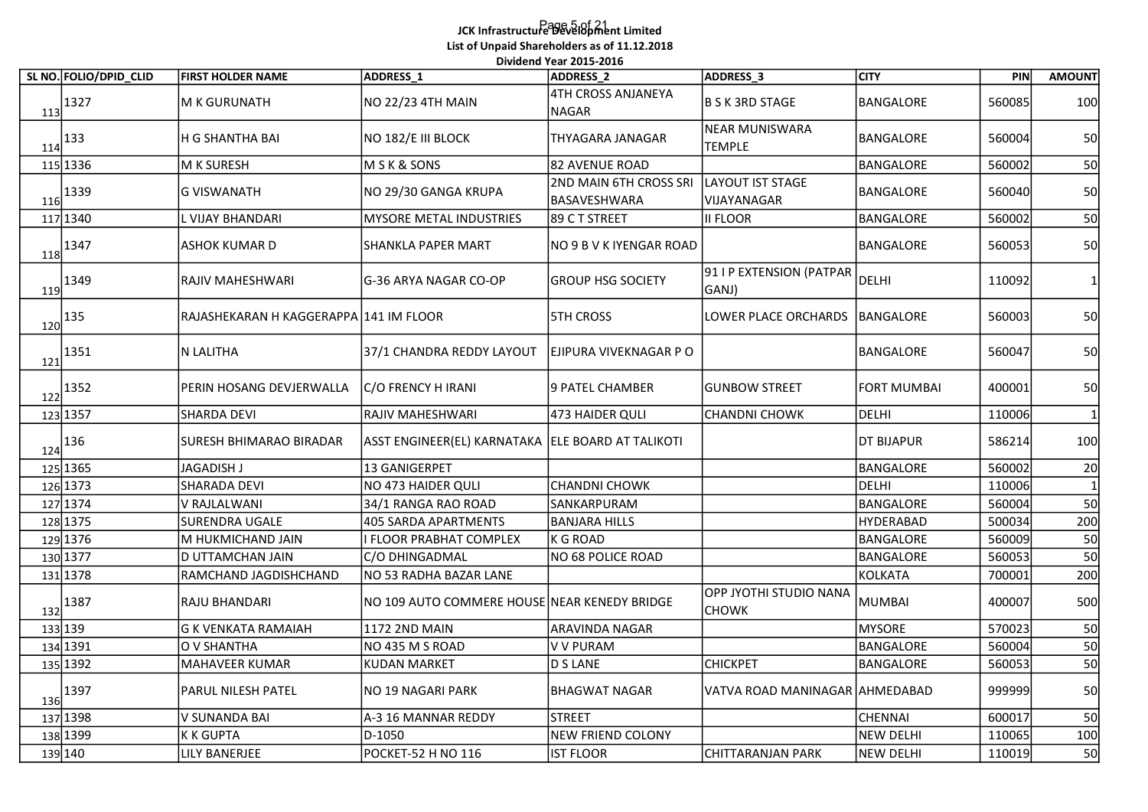## Page 5 of 21 JCK Infrastructure Development Limited List of Unpaid Shareholders as of 11.12.2018 .<br>Dividend Year 2015-2016

| SL NO. FOLIO/DPID CLID                                  | <b>FIRST HOLDER NAME</b>               | ADDRESS_1                                          | Dividend Year 2015-2016<br><b>ADDRESS 2</b>   | ADDRESS <sub>3</sub>                   | <b>CITY</b>                   | PIN              | <b>AMOUNT</b> |
|---------------------------------------------------------|----------------------------------------|----------------------------------------------------|-----------------------------------------------|----------------------------------------|-------------------------------|------------------|---------------|
| $\frac{113}{13}$ 1327                                   | M K GURUNATH                           | NO 22/23 4TH MAIN                                  | 4TH CROSS ANJANEYA<br>NAGAR                   | B S K 3RD STAGE                        | BANGALORE                     | 560085           | 100           |
| $\frac{114}{2}$ 133                                     | H G SHANTHA BAI                        | NO 182/E III BLOCK                                 | THYAGARA JANAGAR                              | NEAR MUNISWARA<br><b>TEMPLE</b>        | BANGALORE                     | 560004           | 50            |
| 115 1336                                                | M K SURESH                             | M S K & SONS                                       | 82 AVENUE ROAD                                |                                        | BANGALORE                     | 560002           | 50            |
| $\frac{116}{1339}$                                      | G VISWANATH                            | NO 29/30 GANGA KRUPA                               | <b>2ND MAIN 6TH CROSS SRI</b><br>BASAVESHWARA | LAYOUT IST STAGE<br>VIJAYANAGAR        | BANGALORE                     | 560040           | 50            |
| 117 1340                                                | L VIJAY BHANDARI                       | <b>MYSORE METAL INDUSTRIES</b>                     | 89 CT STREET                                  | II FLOOR                               | BANGALORE                     | 560002           | 50            |
| 1347<br>118                                             | ASHOK KUMAR D                          | SHANKLA PAPER MART                                 | <b>NO 9 B V K IYENGAR ROAD</b>                |                                        | BANGALORE                     | 560053           | 50            |
| $\frac{119}{2}$ 1349                                    | RAJIV MAHESHWARI                       | G-36 ARYA NAGAR CO-OP                              | <b>GROUP HSG SOCIETY</b>                      | 91 I P EXTENSION (PATPAR<br>GANJ)      | <b>DELHI</b>                  | 110092           |               |
| $120^{135}$                                             | RAJASHEKARAN H KAGGERAPPA 141 IM FLOOR |                                                    | <b>STH CROSS</b>                              | LOWER PLACE ORCHARDS                   | BANGALORE                     | 560003           | 50            |
| 1351<br>121                                             | N LALITHA                              | 37/1 CHANDRA REDDY LAYOUT                          | EJIPURA VIVEKNAGAR P O                        |                                        | BANGALORE                     | 560047           | 50            |
| $\begin{array}{c}\n 122 \\ \hline\n 1352\n \end{array}$ | PERIN HOSANG DEVJERWALLA               | C/O FRENCY H IRANI                                 | 9 PATEL CHAMBER                               | <b>GUNBOW STREET</b>                   | <b>FORT MUMBAI</b>            | 400001           | 50            |
| 123 1357                                                | SHARDA DEVI                            | RAJIV MAHESHWARI                                   | 473 HAIDER QULI                               | <b>CHANDNI CHOWK</b>                   | <b>DELHI</b>                  | 110006           |               |
| $\frac{124}{136}$                                       | <b>SURESH BHIMARAO BIRADAR</b>         | ASST ENGINEER(EL) KARNATAKA  ELE BOARD AT TALIKOTI |                                               |                                        | <b>DT BIJAPUR</b>             | 586214           | 100           |
| 125 1365                                                | JAGADISH J                             | 13 GANIGERPET                                      |                                               |                                        | BANGALORE                     | 560002           | 20            |
| 126 1373                                                | SHARADA DEVI                           | NO 473 HAIDER QULI                                 | CHANDNI CHOWK                                 |                                        | DELHI                         | 110006           |               |
| 127 1374<br>128 1375                                    | V RAJLALWANI<br>SURENDRA UGALE         | 34/1 RANGA RAO ROAD<br>405 SARDA APARTMENTS        | SANKARPURAM<br><b>BANJARA HILLS</b>           |                                        | BANGALORE<br><b>HYDERABAD</b> | 560004<br>500034 | 50<br>200     |
| 129 1376                                                | M HUKMICHAND JAIN                      | I FLOOR PRABHAT COMPLEX                            | K G ROAD                                      |                                        | BANGALORE                     | 560009           | 50            |
| 130 1377                                                | D UTTAMCHAN JAIN                       | C/O DHINGADMAL                                     | NO 68 POLICE ROAD                             |                                        | BANGALORE                     | 560053           | 50            |
| 131 1378                                                | RAMCHAND JAGDISHCHAND                  | NO 53 RADHA BAZAR LANE                             |                                               |                                        | <b>KOLKATA</b>                | 700001           | 200           |
| $\frac{132}{132}$ 1387                                  | RAJU BHANDARI                          | NO 109 AUTO COMMERE HOUSE NEAR KENEDY BRIDGE       |                                               | OPP JYOTHI STUDIO NANA<br><b>CHOWK</b> | <b>MUMBAI</b>                 | 400007           | 500           |
| 133 139                                                 | <b>G K VENKATA RAMAIAH</b>             | 1172 2ND MAIN                                      | ARAVINDA NAGAR                                |                                        | <b>MYSORE</b>                 | 570023           | 50            |
| 134 1391                                                | O V SHANTHA                            | NO 435 M S ROAD                                    | V V PURAM                                     |                                        | BANGALORE                     | 560004           | 50            |
| 135 1392                                                | MAHAVEER KUMAR                         | <b>KUDAN MARKET</b>                                | D S LANE                                      | <b>CHICKPET</b>                        | BANGALORE                     | 560053           | 50            |
| $\frac{136}{136}$ 1397                                  | PARUL NILESH PATEL                     | NO 19 NAGARI PARK                                  | <b>BHAGWAT NAGAR</b>                          | VATVA ROAD MANINAGAR AHMEDABAD         |                               | 999999           | 50            |
| 137 1398                                                | V SUNANDA BAI                          | A-3 16 MANNAR REDDY                                | STREET                                        |                                        | <b>CHENNAI</b>                | 600017           | 50            |
| 138 1399                                                | <b>KKGUPTA</b>                         | D-1050                                             | <b>NEW FRIEND COLONY</b>                      |                                        | <b>NEW DELHI</b>              | 110065           | 100           |
| 139 140                                                 | <b>LILY BANERJEE</b>                   | POCKET-52 H NO 116                                 | <b>IST FLOOR</b>                              | CHITTARANJAN PARK                      | <b>NEW DELHI</b>              | 110019           | 50            |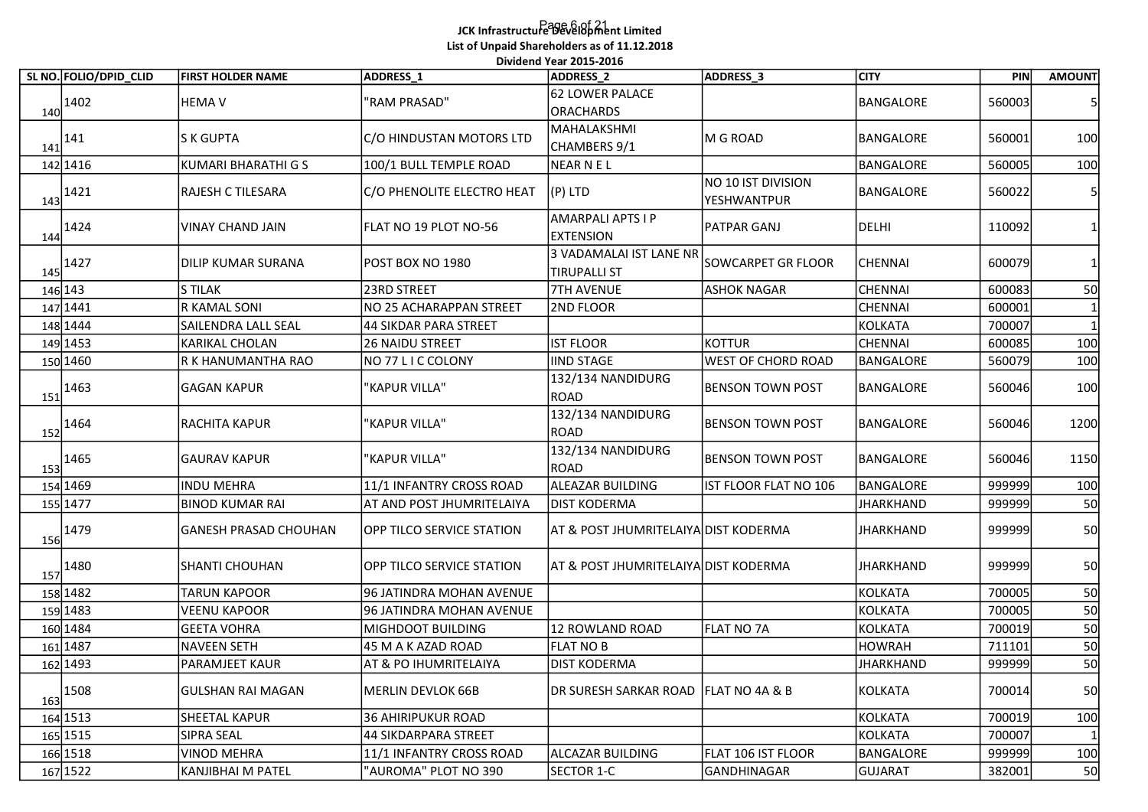## Page 6 of 21 JCK Infrastructure Development Limited List of Unpaid Shareholders as of 11.12.2018 .<br>Dividend Year 2015-2016

| SL NO. FOLIO/DPID_CLID | <b>FIRST HOLDER NAME</b>     | ADDRESS_1                        | Dividend Year 2015-2016<br><b>ADDRESS 2</b>    | ADDRESS_3                         | <b>CITY</b>      | PIN    | <b>AMOUNT</b> |
|------------------------|------------------------------|----------------------------------|------------------------------------------------|-----------------------------------|------------------|--------|---------------|
| 1402<br>140            | <b>HEMA V</b>                | "RAM PRASAD"                     | 62 LOWER PALACE<br><b>ORACHARDS</b>            |                                   | BANGALORE        | 560003 |               |
| 141<br>141             | S K GUPTA                    | C/O HINDUSTAN MOTORS LTD         | MAHALAKSHMI<br>CHAMBERS 9/1                    | M G ROAD                          | BANGALORE        | 560001 | 100           |
| 142 1416               | <b>KUMARI BHARATHI G S</b>   | 100/1 BULL TEMPLE ROAD           | <b>NEAR NEL</b>                                |                                   | BANGALORE        | 560005 | 100           |
| 1421<br>143            | <b>RAJESH C TILESARA</b>     | C/O PHENOLITE ELECTRO HEAT       | $(P)$ LTD                                      | NO 10 IST DIVISION<br>YESHWANTPUR | BANGALORE        | 560022 |               |
| 1424<br>144            | <b>VINAY CHAND JAIN</b>      | FLAT NO 19 PLOT NO-56            | AMARPALI APTS I P<br><b>EXTENSION</b>          | <b>PATPAR GANJ</b>                | <b>DELHI</b>     | 110092 |               |
| 1427<br>145            | <b>DILIP KUMAR SURANA</b>    | POST BOX NO 1980                 | 3 VADAMALAI IST LANE NR<br><b>TIRUPALLI ST</b> | SOWCARPET GR FLOOR                | CHENNAI          | 600079 |               |
| 146 143                | <b>S TILAK</b>               | 23RD STREET                      | <b>7TH AVENUE</b>                              | <b>ASHOK NAGAR</b>                | <b>CHENNAI</b>   | 600083 | 50            |
| 147 1441               | R KAMAL SONI                 | NO 25 ACHARAPPAN STREET          | 2ND FLOOR                                      |                                   | <b>CHENNAI</b>   | 600001 |               |
| 148 1444               | SAILENDRA LALL SEAL          | 44 SIKDAR PARA STREET            |                                                |                                   | <b>KOLKATA</b>   | 700007 |               |
| 149 1453               | <b>KARIKAL CHOLAN</b>        | <b>26 NAIDU STREET</b>           | <b>IST FLOOR</b>                               | <b>KOTTUR</b>                     | <b>CHENNAI</b>   | 600085 | 100           |
| 150 1460               | R K HANUMANTHA RAO           | NO 77 LICCOLONY                  | <b>IIND STAGE</b>                              | <b>WEST OF CHORD ROAD</b>         | <b>BANGALORE</b> | 560079 | 100           |
| $\frac{151}{152}$ 1463 | <b>GAGAN KAPUR</b>           | "KAPUR VILLA"                    | 132/134 NANDIDURG<br>ROAD                      | <b>BENSON TOWN POST</b>           | BANGALORE        | 560046 | 100           |
| 1464<br>152            | RACHITA KAPUR                | "KAPUR VILLA"                    | 132/134 NANDIDURG<br>ROAD                      | BENSON TOWN POST                  | BANGALORE        | 560046 | 1200          |
| $\frac{153}{153}$ 1465 | <b>GAURAV KAPUR</b>          | "KAPUR VILLA"                    | 132/134 NANDIDURG<br>ROAD                      | <b>BENSON TOWN POST</b>           | BANGALORE        | 560046 | 1150          |
| 154 1469               | INDU MEHRA                   | 11/1 INFANTRY CROSS ROAD         | ALEAZAR BUILDING                               | IST FLOOR FLAT NO 106             | BANGALORE        | 999999 | 100           |
| 155 1477               | <b>BINOD KUMAR RAI</b>       | AT AND POST JHUMRITELAIYA        | <b>DIST KODERMA</b>                            |                                   | <b>JHARKHAND</b> | 999999 | 50            |
| $\frac{156}{156}$ 1479 | <b>GANESH PRASAD CHOUHAN</b> | <b>OPP TILCO SERVICE STATION</b> | AT & POST JHUMRITELAIYA DIST KODERMA           |                                   | JHARKHAND        | 999999 | 50            |
| $\frac{157}{ }$ 1480   | SHANTI CHOUHAN               | OPP TILCO SERVICE STATION        | AT & POST JHUMRITELAIYA DIST KODERMA           |                                   | <b>JHARKHAND</b> | 999999 | 50            |
| 158 1482               | <b>TARUN KAPOOR</b>          | 96 JATINDRA MOHAN AVENUE         |                                                |                                   | <b>KOLKATA</b>   | 700005 | 50            |
| 159 1483               | <b>VEENU KAPOOR</b>          | 96 JATINDRA MOHAN AVENUE         |                                                |                                   | <b>KOLKATA</b>   | 700005 | 50            |
| 160 1484               | <b>GEETA VOHRA</b>           | MIGHDOOT BUILDING                | 12 ROWLAND ROAD                                | FLAT NO 7A                        | <b>KOLKATA</b>   | 700019 | 50            |
| 161 1487               | <b>NAVEEN SETH</b>           | 45 M A K AZAD ROAD               | FLAT NO B                                      |                                   | <b>HOWRAH</b>    | 711101 | 50            |
| 162 1493               | PARAMJEET KAUR               | AT & PO IHUMRITELAIYA            | DIST KODERMA                                   |                                   | <b>JHARKHAND</b> | 999999 | 50            |
| $\frac{163}{2}$ 1508   | <b>GULSHAN RAI MAGAN</b>     | MERLIN DEVLOK 66B                | DR SURESH SARKAR ROAD FLAT NO 4A & B           |                                   | <b>KOLKATA</b>   | 700014 | 50            |
| 164 1513               | SHEETAL KAPUR                | 36 AHIRIPUKUR ROAD               |                                                |                                   | <b>KOLKATA</b>   | 700019 | 100           |
| 165 1515               | SIPRA SEAL                   | 44 SIKDARPARA STREET             |                                                |                                   | <b>KOLKATA</b>   | 700007 |               |
| 166 1518               | <b>VINOD MEHRA</b>           | 11/1 INFANTRY CROSS ROAD         | <b>ALCAZAR BUILDING</b>                        | FLAT 106 IST FLOOR                | BANGALORE        | 999999 | 100           |
| 167 1522               | <b>KANJIBHAI M PATEL</b>     | "AUROMA" PLOT NO 390             | SECTOR 1-C                                     | GANDHINAGAR                       | <b>GUJARAT</b>   | 382001 | 50            |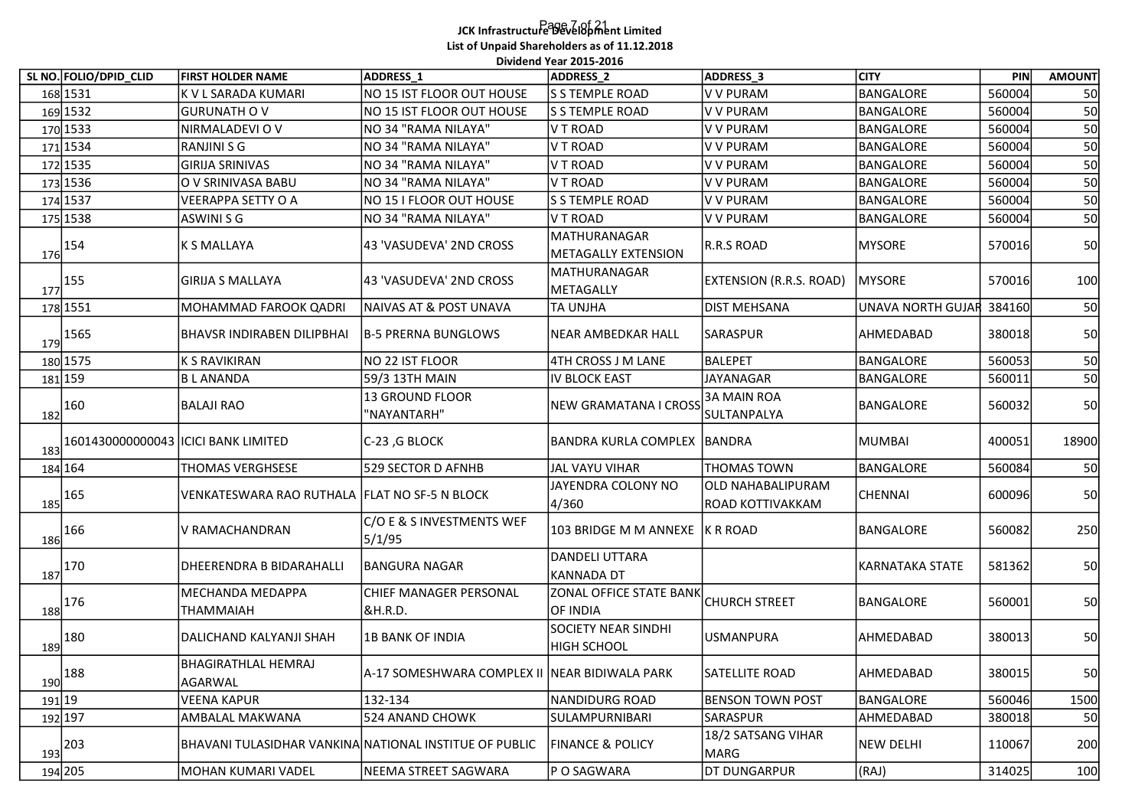## Page 7 of 21 JCK Infrastructure Development Limited List of Unpaid Shareholders as of 11.12.2018

|     |                                                        |                                                        |                                               | JCK Infrastructure Development Limited            |                                              |                                      |                  |               |
|-----|--------------------------------------------------------|--------------------------------------------------------|-----------------------------------------------|---------------------------------------------------|----------------------------------------------|--------------------------------------|------------------|---------------|
|     |                                                        |                                                        | List of Unpaid Shareholders as of 11.12.2018  |                                                   |                                              |                                      |                  |               |
|     |                                                        |                                                        |                                               | Dividend Year 2015-2016                           |                                              |                                      |                  |               |
|     | SL NO. FOLIO/DPID_CLID                                 | <b>FIRST HOLDER NAME</b>                               | ADDRESS_1                                     | ADDRESS_2                                         | ADDRESS_3                                    | <b>CITY</b>                          | PIN              | <b>AMOUNT</b> |
|     | 168 1531                                               | K V L SARADA KUMARI                                    | NO 15 IST FLOOR OUT HOUSE                     | <b>S 5 TEMPLE ROAD</b>                            | <b>V V PURAM</b>                             | <b>BANGALORE</b>                     | 560004           | 50            |
|     | 169 1532                                               | <b>GURUNATH O V</b>                                    | NO 15 IST FLOOR OUT HOUSE                     | S S TEMPLE ROAD                                   | V V PURAM                                    | <b>BANGALORE</b>                     | 560004           | 50            |
|     | 170 1533<br>171 1534                                   | NIRMALADEVI O V<br>RANJINI S G                         | NO 34 "RAMA NILAYA"<br>NO 34 "RAMA NILAYA"    | V T ROAD<br>V T ROAD                              | <b>V V PURAM</b><br><b>V V PURAM</b>         | <b>BANGALORE</b><br><b>BANGALORE</b> | 560004<br>560004 | 50<br>50      |
|     | 172 1535                                               | <b>GIRIJA SRINIVAS</b>                                 | NO 34 "RAMA NILAYA"                           | V T ROAD                                          | <b>V V PURAM</b>                             | <b>BANGALORE</b>                     | 560004           | 50            |
|     | 173 1536                                               | O V SRINIVASA BABU                                     | NO 34 "RAMA NILAYA"                           | V T ROAD                                          | <b>V V PURAM</b>                             | <b>BANGALORE</b>                     | 560004           | 50            |
|     | 174 1537                                               | <b>VEERAPPA SETTY O A</b>                              | NO 15 I FLOOR OUT HOUSE                       | S S TEMPLE ROAD                                   | V V PURAM                                    | <b>BANGALORE</b>                     | 560004           | 50            |
|     | 175 1538                                               | ASWINI S G                                             | NO 34 "RAMA NILAYA"                           | V T ROAD                                          | V V PURAM                                    | BANGALORE                            | 560004           | 50            |
|     | $\frac{176}{1}$ <sup>154</sup>                         | K S MALLAYA                                            | 43 'VASUDEVA' 2ND CROSS                       | MATHURANAGAR<br>METAGALLY EXTENSION               | R.R.S ROAD                                   | <b>MYSORE</b>                        | 570016           | 50            |
|     | $\frac{177}{2}$ 155                                    | <b>GIRIJA S MALLAYA</b>                                | 43 'VASUDEVA' 2ND CROSS                       | MATHURANAGAR<br>METAGALLY                         | <b>EXTENSION (R.R.S. ROAD)</b>               | <b>MYSORE</b>                        | 570016           | 100           |
|     | 178 1551                                               | MOHAMMAD FAROOK QADRI                                  | NAIVAS AT & POST UNAVA                        | <b>TA UNJHA</b>                                   | <b>DIST MEHSANA</b>                          | <b>UNAVA NORTH GUJAR</b>             | 384160           | 50            |
| 179 | 1565                                                   | <b>BHAVSR INDIRABEN DILIPBHAI</b>                      | <b>B-5 PRERNA BUNGLOWS</b>                    | <b>NEAR AMBEDKAR HALL</b>                         | SARASPUR                                     | AHMEDABAD                            | 380018           | 50            |
|     | 180 1575                                               | K S RAVIKIRAN                                          | NO 22 IST FLOOR                               | 4TH CROSS J M LANE                                | BALEPET                                      | <b>BANGALORE</b>                     | 560053           | 50<br>JU.     |
|     | 181 159                                                | <b>BLANANDA</b>                                        | 59/3 13TH MAIN                                | <b>IV BLOCK EAST</b>                              | <b>JAYANAGAR</b>                             | <b>BANGALORE</b>                     | 560011           | 50            |
|     | $\frac{182}{ }$ 160                                    | <b>BALAJI RAO</b>                                      | 13 GROUND FLOOR<br>'NAYANTARH"                | NEW GRAMATANA I CROSS                             | <b>3A MAIN ROA</b><br>SULTANPALYA            | BANGALORE                            | 560032           | 50            |
| 183 |                                                        | 1601430000000043   ICICI BANK LIMITED                  | G BLOCK (C-23)                                | BANDRA KURLA COMPLEX BANDRA                       |                                              | <b>MUMBAI</b>                        | 400051           | 18900         |
|     | 184 164                                                | <b>THOMAS VERGHSESE</b>                                | 529 SECTOR D AFNHB                            | JAL VAYU VIHAR                                    | <b>THOMAS TOWN</b>                           | BANGALORE                            | 560084           | 50            |
|     | $\frac{185}{165}$                                      | VENKATESWARA RAO RUTHALA   FLAT NO SF-5 N BLOCK        |                                               | JAYENDRA COLONY NO<br>4/360                       | <b>OLD NAHABALIPURAM</b><br>ROAD KOTTIVAKKAM | <b>CHENNAI</b>                       | 600096           | 50            |
|     | $\frac{186}{100}$ 166                                  | V RAMACHANDRAN                                         | C/O E & S INVESTMENTS WEF<br>5/1/95           | 103 BRIDGE M M ANNEXE K R ROAD                    |                                              | BANGALORE                            | 560082           | 250           |
|     | $\frac{187}{100}$ 170                                  | <b>DHEERENDRA B BIDARAHALLI</b>                        | <b>BANGURA NAGAR</b>                          | DANDELI UTTARA<br>KANNADA DT                      |                                              | <b>KARNATAKA STATE</b>               | 581362           | 50            |
|     | $\frac{188}{100}$ 176                                  | MECHANDA MEDAPPA<br><b>THAMMAIAH</b>                   | CHIEF MANAGER PERSONAL<br><b>&amp;H.R.D.</b>  | ZONAL OFFICE STATE BANK CHURCH STREET<br>OF INDIA |                                              | BANGALORE                            | 560001           | 50            |
|     | $\frac{189}{180}$ 180                                  | DALICHAND KALYANJI SHAH                                | 1B BANK OF INDIA                              | SOCIETY NEAR SINDHI<br>HIGH SCHOOL                | USMANPURA                                    | AHMEDABAD                            | 380013           | 50            |
|     | $\frac{190}{20}$ 188                                   | <b>BHAGIRATHLAL HEMRAJ</b><br>AGARWAL                  | A-17 SOMESHWARA COMPLEX II NEAR BIDIWALA PARK |                                                   | SATELLITE ROAD                               | AHMEDABAD                            | 380015           | 50            |
|     | $191$ 19                                               | <b>VEENA KAPUR</b>                                     | 132-134                                       | NANDIDURG ROAD                                    | <b>BENSON TOWN POST</b>                      | <b>BANGALORE</b>                     | 560046           | 1500          |
|     | 192 197                                                | AMBALAL MAKWANA                                        | 524 ANAND CHOWK                               | SULAMPURNIBARI                                    | SARASPUR                                     | AHMEDABAD                            | 380018           | 50            |
|     | $\begin{array}{c c} & 203 \\ \hline & 193 \end{array}$ | BHAVANI TULASIDHAR VANKINA NATIONAL INSTITUE OF PUBLIC |                                               | <b>FINANCE &amp; POLICY</b>                       | 18/2 SATSANG VIHAR<br> MARG                  | <b>NEW DELHI</b>                     | 110067           | 200           |
|     | 194 205                                                | MOHAN KUMARI VADEL                                     | NEEMA STREET SAGWARA                          | P O SAGWARA                                       | <b>DT DUNGARPUR</b>                          | (RAJ)                                | 314025           | 100           |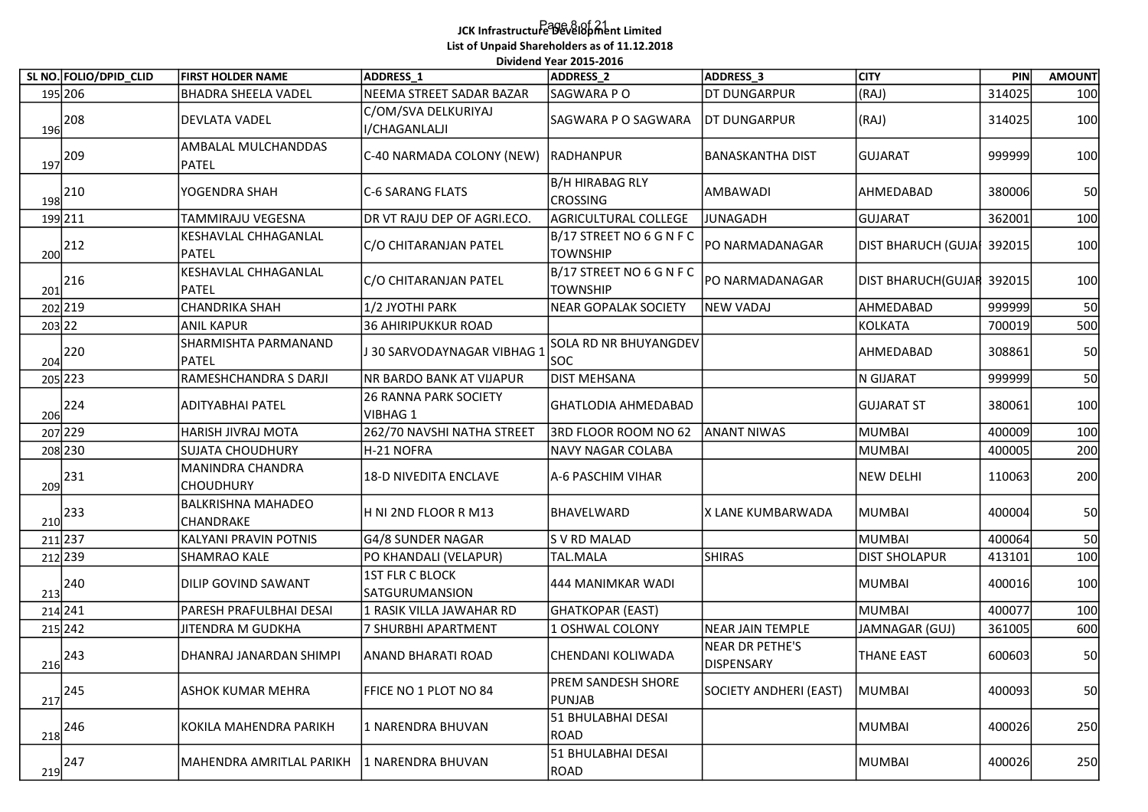## Page 8 of 21 JCK Infrastructure Development Limited List of Unpaid Shareholders as of 11.12.2018

|                                             |                                |                                               | List of Unpaid Shareholders as of 11.12.2018 | Dividend Year 2015-2016                     |                               |                           |        |               |
|---------------------------------------------|--------------------------------|-----------------------------------------------|----------------------------------------------|---------------------------------------------|-------------------------------|---------------------------|--------|---------------|
|                                             | SL NO. FOLIO/DPID_CLID         | <b>FIRST HOLDER NAME</b>                      | ADDRESS <sub>1</sub>                         | ADDRESS_2                                   | ADDRESS_3                     | <b>CITY</b>               | PIN    | <b>AMOUNT</b> |
| 195 206                                     |                                | BHADRA SHEELA VADEL                           | NEEMA STREET SADAR BAZAR                     | SAGWARA P O                                 | <b>DT DUNGARPUR</b>           | (RAJ)                     | 314025 | 100           |
| $\frac{196}{208}$                           |                                | <b>DEVLATA VADEL</b>                          | C/OM/SVA DELKURIYAJ<br>I/CHAGANLALJI         | SAGWARA P O SAGWARA                         | <b>IDT DUNGARPUR</b>          | (RAJ)                     | 314025 | 100           |
| $\frac{197}{209}$                           |                                | AMBALAL MULCHANDDAS<br>PATEL                  | C-40 NARMADA COLONY (NEW) RADHANPUR          |                                             | <b>BANASKANTHA DIST</b>       | <b>GUJARAT</b>            | 999999 | 100           |
| $\frac{198}{210}$                           |                                | YOGENDRA SHAH                                 | C-6 SARANG FLATS                             | B/H HIRABAG RLY<br><b>CROSSING</b>          | AMBAWADI                      | AHMEDABAD                 | 380006 | 50            |
| 199 211                                     |                                | <b>TAMMIRAJU VEGESNA</b>                      | DR VT RAJU DEP OF AGRI.ECO.                  | AGRICULTURAL COLLEGE                        | JUNAGADH                      | <b>GUJARAT</b>            | 362001 | 100           |
| $\frac{200}{200}$ 212                       |                                | KESHAVLAL CHHAGANLAL<br>PATEL                 | C/O CHITARANJAN PATEL                        | B/17 STREET NO 6 G N F C<br><b>TOWNSHIP</b> | <b>PO NARMADANAGAR</b>        | DIST BHARUCH (GUJA 392015 |        | 100           |
| $\frac{201}{201}$ 216                       |                                | KESHAVLAL CHHAGANLAL<br>PATEL                 | C/O CHITARANJAN PATEL                        | B/17 STREET NO 6 G N F C<br><b>TOWNSHIP</b> | PO NARMADANAGAR               | DIST BHARUCH(GUJAR 392015 |        | 100           |
| 202 219                                     |                                | <b>CHANDRIKA SHAH</b>                         | 1/2 JYOTHI PARK                              | NEAR GOPALAK SOCIETY                        | <b>NEW VADAJ</b>              | AHMEDABAD                 | 999999 | 50            |
| 203 22                                      |                                | <b>ANIL KAPUR</b>                             | 36 AHIRIPUKKUR ROAD                          |                                             |                               | <b>KOLKATA</b>            | 700019 | 500           |
| $\begin{array}{c c} 204 \\ 204 \end{array}$ |                                | SHARMISHTA PARMANAND<br>PATEL                 | J 30 SARVODAYNAGAR VIBHAG 1                  | SOLA RD NR BHUYANGDEV<br> soc               |                               | AHMEDABAD                 | 308861 | 50            |
| 205 223                                     |                                | RAMESHCHANDRA S DARJI                         | NR BARDO BANK AT VIJAPUR                     | <b>DIST MEHSANA</b>                         |                               | N GIJARAT                 | 999999 | 50            |
|                                             |                                |                                               | <b>26 RANNA PARK SOCIETY</b>                 |                                             |                               |                           |        |               |
| $\frac{206}{2}$ <sup>224</sup>              |                                | <b>ADITYABHAI PATEL</b>                       | VIBHAG 1                                     | GHATLODIA AHMEDABAD                         |                               | <b>GUJARAT ST</b>         | 380061 | 100           |
| 207 229                                     |                                | HARISH JIVRAJ MOTA                            | 262/70 NAVSHI NATHA STREET                   | 3RD FLOOR ROOM NO 62                        | <b>ANANT NIWAS</b>            | <b>MUMBAI</b>             | 400009 | 100           |
|                                             | 208 230                        | <b>SUJATA CHOUDHURY</b>                       | H-21 NOFRA                                   | NAVY NAGAR COLABA                           |                               | <b>MUMBAI</b>             | 400005 | 200           |
| $\sqrt{209}$ 231                            |                                | MANINDRA CHANDRA<br><b>CHOUDHURY</b>          | 18-D NIVEDITA ENCLAVE                        | A-6 PASCHIM VIHAR                           |                               | <b>NEW DELHI</b>          | 110063 | 200           |
| $\frac{210}{2}$ <sup>233</sup>              |                                | <b>BALKRISHNA MAHADEO</b><br><b>CHANDRAKE</b> | H NI 2ND FLOOR R M13                         | BHAVELWARD                                  | X LANE KUMBARWADA             | <b>MUMBAI</b>             | 400004 | -50           |
| 211 237                                     |                                | KALYANI PRAVIN POTNIS                         | G4/8 SUNDER NAGAR                            | S V RD MALAD                                |                               | <b>MUMBAI</b>             | 400064 | 50            |
| 212 239                                     |                                | <b>SHAMRAO KALE</b>                           | PO KHANDALI (VELAPUR)                        | TAL.MALA                                    | <b>SHIRAS</b>                 | <b>DIST SHOLAPUR</b>      | 413101 | 100           |
| $\frac{213}{2}$ <sup>240</sup>              |                                | <b>DILIP GOVIND SAWANT</b>                    | <b>1ST FLR C BLOCK</b><br>SATGURUMANSION     | 444 MANIMKAR WADI                           |                               | MUMBAI                    | 400016 | 100           |
| 214 241                                     |                                | PARESH PRAFULBHAI DESAI                       | L RASIK VILLA JAWAHAR RD                     | GHATKOPAR (EAST)                            |                               | <b>MUMBAI</b>             | 400077 | 100           |
| 215 242                                     |                                | JITENDRA M GUDKHA                             | 7 SHURBHI APARTMENT                          | LOSHWAL COLONY                              | NEAR JAIN TEMPLE              | JAMNAGAR (GUJ)            | 361005 | 600           |
| $\frac{216}{2}$ <sup>243</sup>              |                                | DHANRAJ JANARDAN SHIMPI                       | <b>ANAND BHARATI ROAD</b>                    | CHENDANI KOLIWADA                           | NEAR DR PETHE'S<br>DISPENSARY | <b>THANE EAST</b>         | 600603 | 50            |
| $\frac{217}{2}$ <sup>245</sup>              |                                | ASHOK KUMAR MEHRA                             | FFICE NO 1 PLOT NO 84                        | <b>PREM SANDESH SHORE</b><br><b>PUNJAB</b>  | SOCIETY ANDHERI (EAST)        | <b>MUMBAI</b>             | 400093 | 50            |
| $\frac{218}{2}$ <sup>246</sup>              |                                | KOKILA MAHENDRA PARIKH                        | 1 NARENDRA BHUVAN                            | 51 BHULABHAI DESAI<br>ROAD                  |                               | <b>MUMBAI</b>             | 400026 | 250           |
|                                             | $\frac{219}{2}$ <sup>247</sup> | MAHENDRA AMRITLAL PARIKH                      | 1 NARENDRA BHUVAN                            | 51 BHULABHAI DESAI<br>ROAD                  |                               | <b>MUMBAI</b>             | 400026 | 250           |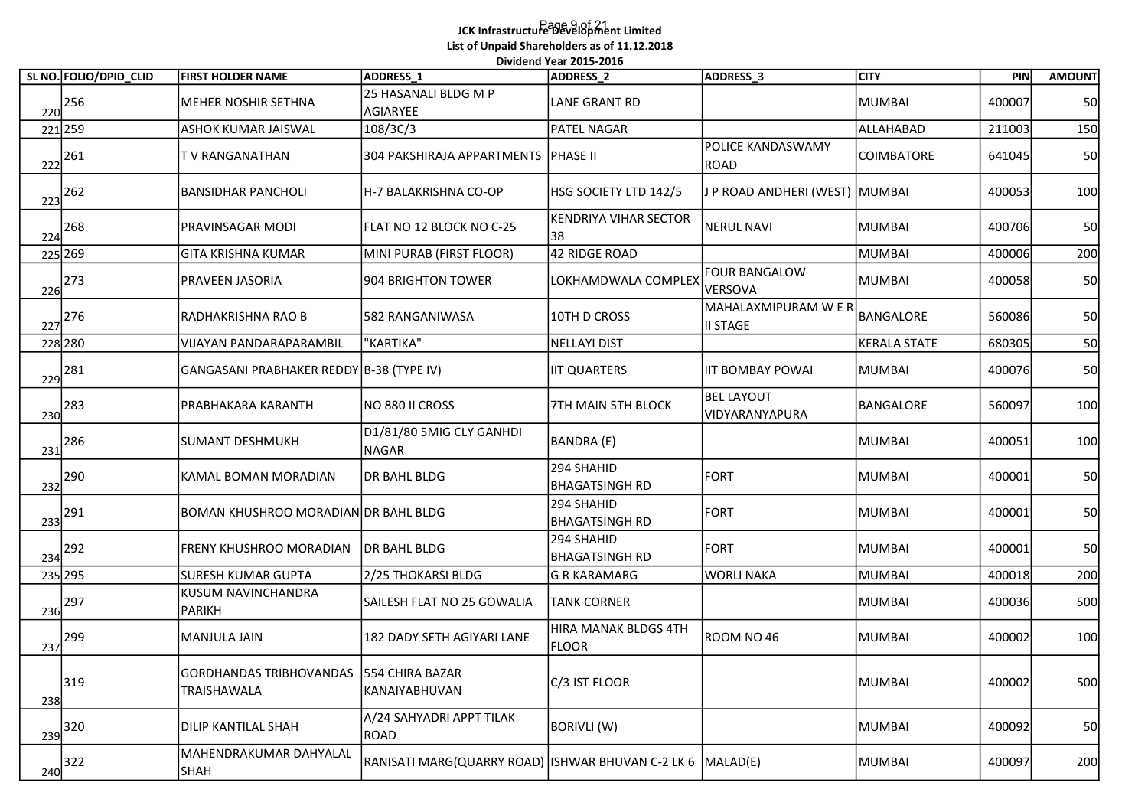## Page 9 of 21 JCK Infrastructure Development Limited List of Unpaid Shareholders as of 11.12.2018 .<br>Dividend Year 2015-2016

|     | SL NO. FOLIO/DPID_CLID                           | <b>FIRST HOLDER NAME</b>                                      | ADDRESS <sub>1</sub>                                       | Dividend Year 2015-2016<br><b>ADDRESS 2</b> | ADDRESS_3                               | <b>CITY</b>         | PIN    | <b>AMOUNT</b> |
|-----|--------------------------------------------------|---------------------------------------------------------------|------------------------------------------------------------|---------------------------------------------|-----------------------------------------|---------------------|--------|---------------|
|     | $\begin{array}{c c} & 256 \\ \hline \end{array}$ | MEHER NOSHIR SETHNA                                           | 25 HASANALI BLDG M P<br>AGIARYEE                           | <b>LANE GRANT RD</b>                        |                                         | MUMBAI              | 400007 | 50            |
|     | 221 259                                          | ASHOK KUMAR JAISWAL                                           | 108/3C/3                                                   | PATEL NAGAR                                 |                                         | ALLAHABAD           | 211003 | 150           |
|     | $\frac{222}{2}$ 261                              | T V RANGANATHAN                                               | 304 PAKSHIRAJA APPARTMENTS PHASE II                        |                                             | POLICE KANDASWAMY<br><b>ROAD</b>        | <b>COIMBATORE</b>   | 641045 | 50            |
| 223 | 262                                              | <b>BANSIDHAR PANCHOLI</b>                                     | H-7 BALAKRISHNA CO-OP                                      | HSG SOCIETY LTD 142/5                       | J P ROAD ANDHERI (WEST) MUMBAI          |                     | 400053 | 100           |
| 224 | 268                                              | PRAVINSAGAR MODI                                              | FLAT NO 12 BLOCK NO C-25                                   | <b>KENDRIYA VIHAR SECTOR</b><br>38          | NERUL NAVI                              | <b>MUMBAI</b>       | 400706 | 50            |
|     | 225 269                                          | <b>GITA KRISHNA KUMAR</b>                                     | MINI PURAB (FIRST FLOOR)                                   | 42 RIDGE ROAD                               |                                         | MUMBAI              | 400006 | 200           |
|     | $\frac{226}{273}$                                | PRAVEEN JASORIA                                               | 904 BRIGHTON TOWER                                         | LOKHAMDWALA COMPLEX                         | <b>FOUR BANGALOW</b><br>VERSOVA         | MUMBAI              | 400058 | 50            |
|     | $\frac{227}{227}$ 276                            | RADHAKRISHNA RAO B                                            | 582 RANGANIWASA                                            | 10TH D CROSS                                | MAHALAXMIPURAM W E R<br><b>II STAGE</b> | BANGALORE           | 560086 | 50            |
|     | 228 280                                          | VIJAYAN PANDARAPARAMBIL                                       | "KARTIKA"                                                  | NELLAYI DIST                                |                                         | <b>KERALA STATE</b> | 680305 | 50            |
| 229 | 281                                              | GANGASANI PRABHAKER REDDY B-38 (TYPE IV)                      |                                                            | <b>IIT QUARTERS</b>                         | <b>IIT BOMBAY POWAI</b>                 | <b>MUMBAI</b>       | 400076 | 50            |
|     | $\frac{230}{2}$ <sup>283</sup>                   | PRABHAKARA KARANTH                                            | NO 880 II CROSS                                            | 7TH MAIN 5TH BLOCK                          | <b>BEL LAYOUT</b><br>VIDYARANYAPURA     | BANGALORE           | 560097 | 100           |
| 231 | 286                                              | SUMANT DESHMUKH                                               | D1/81/80 5MIG CLY GANHDI<br>NAGAR                          | BANDRA (E)                                  |                                         | MUMBAI              | 400051 | 100           |
|     | $\frac{232}{2}$ 290                              | KAMAL BOMAN MORADIAN                                          | DR BAHL BLDG                                               | 294 SHAHID<br>BHAGATSINGH RD                | FORT                                    | MUMBAI              | 400001 | 50            |
|     | $\sqrt{233}^{291}$                               | BOMAN KHUSHROO MORADIAN DR BAHL BLDG                          |                                                            | 294 SHAHID<br><b>BHAGATSINGH RD</b>         | FORT                                    | MUMBAI              | 400001 | 50            |
|     | $\frac{234}{2}$ 292                              | FRENY KHUSHROO MORADIAN                                       | DR BAHL BLDG                                               | 294 SHAHID<br>BHAGATSINGH RD                | FORT                                    | <b>MUMBAI</b>       | 400001 | 50            |
|     | 235 295                                          | <b>SURESH KUMAR GUPTA</b>                                     | 2/25 THOKARSI BLDG                                         | G R KARAMARG                                | <b>WORLI NAKA</b>                       | MUMBAI              | 400018 | 200           |
|     | $\frac{236}{2}$ <sup>297</sup>                   | KUSUM NAVINCHANDRA<br>PARIKH                                  | SAILESH FLAT NO 25 GOWALIA                                 | <b>TANK CORNER</b>                          |                                         | <b>MUMBAI</b>       | 400036 | 500           |
|     | $\frac{237}{2}$ <sup>299</sup>                   | MANJULA JAIN                                                  | 182 DADY SETH AGIYARI LANE                                 | HIRA MANAK BLDGS 4TH<br><b>FLOOR</b>        | ROOM NO 46                              | MUMBAI              | 400002 | 100           |
| 238 | 319                                              | GORDHANDAS TRIBHOVANDAS 554 CHIRA BAZAR<br><b>TRAISHAWALA</b> | KANAIYABHUVAN                                              | C/3 IST FLOOR                               |                                         | MUMBAI              | 400002 | 500           |
| 239 | 320                                              | DILIP KANTILAL SHAH                                           | A/24 SAHYADRI APPT TILAK<br>ROAD                           | BORIVLI (W)                                 |                                         | <b>MUMBAI</b>       | 400092 | 50            |
|     | $\frac{240}{322}$                                | MAHENDRAKUMAR DAHYALAL<br><b>SHAH</b>                         | RANISATI MARG(QUARRY ROAD) ISHWAR BHUVAN C-2 LK 6 MALAD(E) |                                             |                                         | <b>MUMBAI</b>       | 400097 | 200           |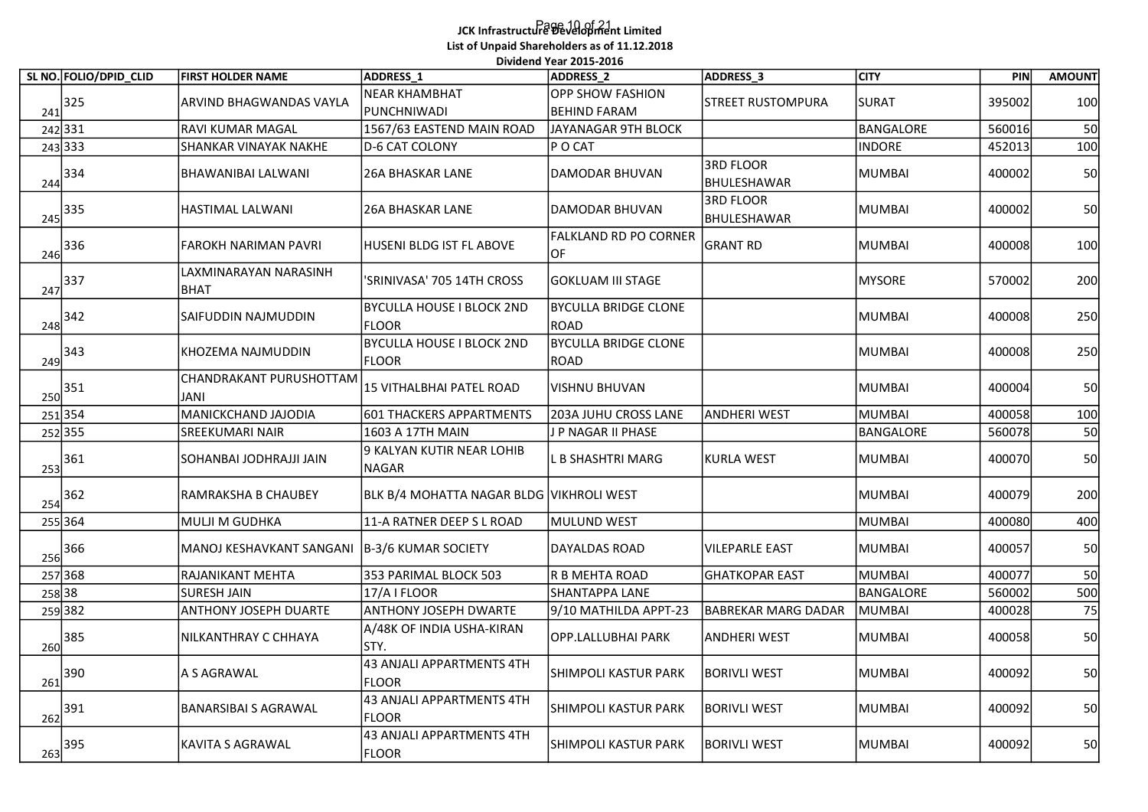## Page 10 of 21 JCK Infrastructure Development Limited List of Unpaid Shareholders as of 11.12.2018 .<br>Dividend Year 2015-2016

|                        |                                                |                                                  | Dividend Year 2015-2016                 |                                 |                  |        |               |
|------------------------|------------------------------------------------|--------------------------------------------------|-----------------------------------------|---------------------------------|------------------|--------|---------------|
| SL NO. FOLIO/DPID CLID | <b>FIRST HOLDER NAME</b>                       | ADDRESS 1                                        | ADDRESS <sub>2</sub>                    | ADDRESS_3                       | <b>CITY</b>      | PIN    | <b>AMOUNT</b> |
| $\frac{241}{2}$ 325    | ARVIND BHAGWANDAS VAYLA                        | <b>NEAR KHAMBHAT</b><br>PUNCHNIWADI              | <b>OPP SHOW FASHION</b><br>BEHIND FARAM | <b>STREET RUSTOMPURA</b>        | <b>SURAT</b>     | 395002 | 100           |
| 242 331                | <b>RAVI KUMAR MAGAL</b>                        | 1567/63 EASTEND MAIN ROAD                        | JAYANAGAR 9TH BLOCK                     |                                 | <b>BANGALORE</b> | 560016 | 50            |
| 243 333                | SHANKAR VINAYAK NAKHE                          | D-6 CAT COLONY                                   | P O CAT                                 |                                 | <b>INDORE</b>    | 452013 | 100           |
| 244 334                | BHAWANIBAI LALWANI                             | <b>26A BHASKAR LANE</b>                          | DAMODAR BHUVAN                          | <b>3RD FLOOR</b><br>BHULESHAWAR | <b>MUMBAI</b>    | 400002 | 50            |
| $\frac{245}{ } ^{335}$ | HASTIMAL LALWANI                               | <b>26A BHASKAR LANE</b>                          | DAMODAR BHUVAN                          | <b>3RD FLOOR</b><br>BHULESHAWAR | <b>MUMBAI</b>    | 400002 | 50            |
| $\frac{246}{336}$      | <b>FAROKH NARIMAN PAVRI</b>                    | HUSENI BLDG IST FL ABOVE                         | <b>FALKLAND RD PO CORNER</b><br>OF      | <b>GRANT RD</b>                 | MUMBAI           | 400008 | 100           |
| $\frac{247}{337}$      | LAXMINARAYAN NARASINH<br>BHAT                  | SRINIVASA' 705 14TH CROSS                        | GOKLUAM III STAGE                       |                                 | <b>MYSORE</b>    | 570002 | 200           |
| $248$ <sup>342</sup>   | SAIFUDDIN NAJMUDDIN                            | <b>BYCULLA HOUSE I BLOCK 2ND</b><br><b>FLOOR</b> | <b>BYCULLA BRIDGE CLONE</b><br>ROAD     |                                 | <b>MUMBAI</b>    | 400008 | 250           |
| $\frac{249}{2}$ 343    | KHOZEMA NAJMUDDIN                              | <b>BYCULLA HOUSE I BLOCK 2ND</b><br><b>FLOOR</b> | <b>BYCULLA BRIDGE CLONE</b><br>ROAD     |                                 | <b>MUMBAI</b>    | 400008 | 250           |
| $\frac{250}{351}$      | CHANDRAKANT PURUSHOTTAM <br>JANI               | 15 VITHALBHAI PATEL ROAD                         | VISHNU BHUVAN                           |                                 | MUMBAI           | 400004 | 50            |
| 251354                 | MANICKCHAND JAJODIA                            | 601 THACKERS APPARTMENTS                         | 203A JUHU CROSS LANE                    | <b>ANDHERI WEST</b>             | <b>MUMBAI</b>    | 400058 | 100           |
| 252355                 | SREEKUMARI NAIR                                | 1603 A 17TH MAIN                                 | J P NAGAR II PHASE                      |                                 | <b>BANGALORE</b> | 560078 | 50            |
| $\frac{253}{361}$      | SOHANBAI JODHRAJJI JAIN                        | 9 KALYAN KUTIR NEAR LOHIB<br>NAGAR               | <b>B SHASHTRI MARG</b>                  | <b>KURLA WEST</b>               | MUMBAI           | 400070 | 50            |
| $\frac{254}{362}$      | RAMRAKSHA B CHAUBEY                            | BLK B/4 MOHATTA NAGAR BLDG VIKHROLI WEST         |                                         |                                 | <b>MUMBAI</b>    | 400079 | 200           |
| 255 364                | MULJI M GUDHKA                                 | 11-A RATNER DEEP S L ROAD                        | MULUND WEST                             |                                 | <b>MUMBAI</b>    | 400080 | 400           |
| $\frac{256}{ }$ 366    | MANOJ KESHAVKANT SANGANI   B-3/6 KUMAR SOCIETY |                                                  | DAYALDAS ROAD                           | <b>VILEPARLE EAST</b>           | <b>MUMBAI</b>    | 400057 | 50            |
| 257368                 | RAJANIKANT MEHTA                               | 353 PARIMAL BLOCK 503                            | R B MEHTA ROAD                          | <b>GHATKOPAR EAST</b>           | <b>MUMBAI</b>    | 400077 | 50            |
| 258 38                 | SURESH JAIN                                    | 17/AIFLOOR                                       | SHANTAPPA LANE                          |                                 | BANGALORE        | 560002 | 500           |
| 259 382                | ANTHONY JOSEPH DUARTE                          | <b>ANTHONY JOSEPH DWARTE</b>                     | 9/10 MATHILDA APPT-23                   | <b>BABREKAR MARG DADAR</b>      | <b>MUMBAI</b>    | 400028 | 75            |
| $\frac{260}{385}$      | NILKANTHRAY C CHHAYA                           | A/48K OF INDIA USHA-KIRAN<br>STY.                | OPP.LALLUBHAI PARK                      | <b>ANDHERI WEST</b>             | MUMBAI           | 400058 | 50            |
| $\frac{261}{261}$ 390  | A S AGRAWAL                                    | 43 ANJALI APPARTMENTS 4TH<br>FLOOR               | SHIMPOLI KASTUR PARK                    | <b>BORIVLI WEST</b>             | MUMBAI           | 400092 | 50            |
| $\frac{262}{391}$      | <b>BANARSIBAI S AGRAWAL</b>                    | 43 ANJALI APPARTMENTS 4TH<br><b>FLOOR</b>        | SHIMPOLI KASTUR PARK                    | <b>BORIVLI WEST</b>             | <b>MUMBAI</b>    | 400092 | 50            |
| $\frac{263}{ }395$     | KAVITA S AGRAWAL                               | 43 ANJALI APPARTMENTS 4TH<br><b>FLOOR</b>        | <b>SHIMPOLI KASTUR PARK</b>             | <b>BORIVLI WEST</b>             | <b>MUMBAI</b>    | 400092 | 50            |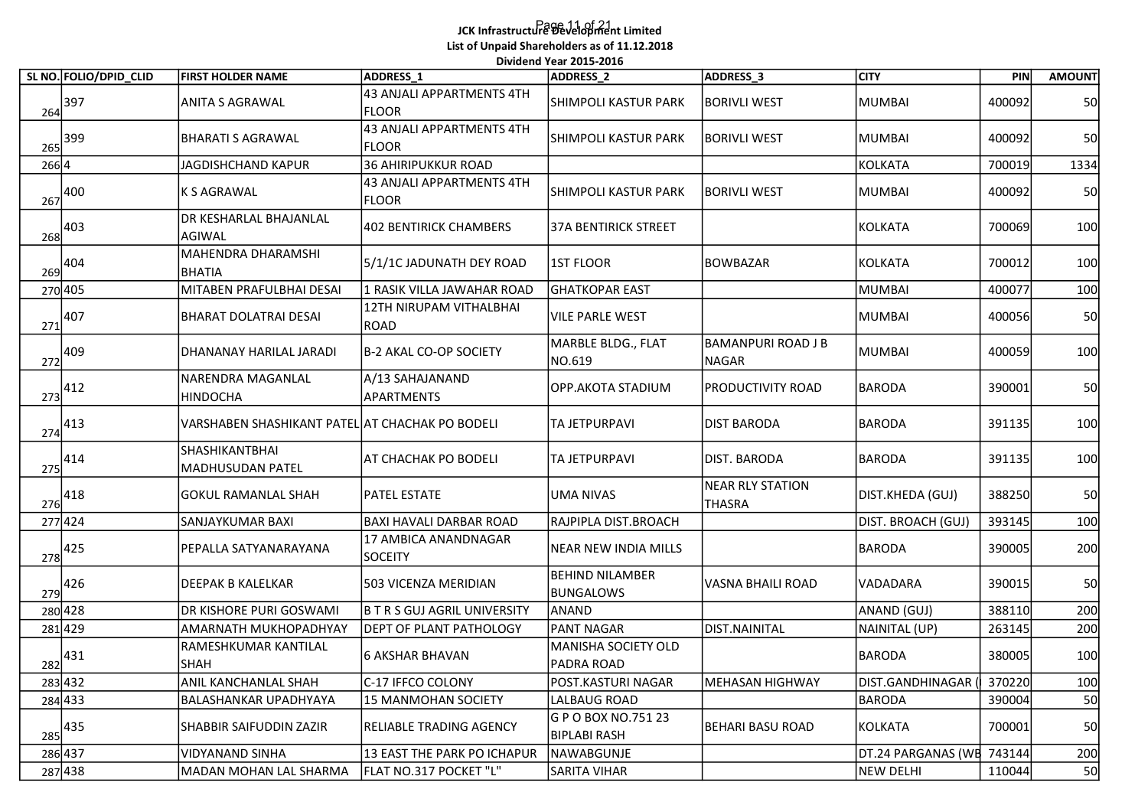## Page 11 of 21 JCK Infrastructure Development Limited List of Unpaid Shareholders as of 11.12.2018 .<br>Dividend Year 2015-2016

|                    |                                        |                                                 | List of Unpaid Shareholders as of 11.12.2018 | Dividend Year 2015-2016                    |                                           |                    |        |               |
|--------------------|----------------------------------------|-------------------------------------------------|----------------------------------------------|--------------------------------------------|-------------------------------------------|--------------------|--------|---------------|
|                    | SL NO. FOLIO/DPID_CLID                 | <b>FIRST HOLDER NAME</b>                        | <b>ADDRESS 1</b>                             | ADDRESS_2                                  | ADDRESS_3                                 | <b>CITY</b>        | PIN    | <b>AMOUNT</b> |
| $\frac{264}{397}$  |                                        | ANITA S AGRAWAL                                 | 43 ANJALI APPARTMENTS 4TH<br><b>FLOOR</b>    | SHIMPOLI KASTUR PARK                       | <b>BORIVLI WEST</b>                       | <b>MUMBAI</b>      | 400092 | 50            |
|                    | $\frac{265}{ }$ 399                    | <b>BHARATI S AGRAWAL</b>                        | 43 ANJALI APPARTMENTS 4TH<br> FLOOR          | SHIMPOLI KASTUR PARK                       | BORIVLI WEST                              | <b>MUMBAI</b>      | 400092 | 50            |
| $266$ <sup>4</sup> |                                        | <b>JAGDISHCHAND KAPUR</b>                       | 36 AHIRIPUKKUR ROAD                          |                                            |                                           | KOLKATA            | 700019 | 1334          |
|                    | $\frac{267}{267}$ 400                  | <b>K S AGRAWAL</b>                              | 43 ANJALI APPARTMENTS 4TH<br><b>FLOOR</b>    | <b>SHIMPOLI KASTUR PARK</b>                | <b>BORIVLI WEST</b>                       | <b>MUMBAI</b>      | 400092 | 50            |
|                    | $\frac{268}{ }$ 403                    | DR KESHARLAL BHAJANLAL<br><b>AGIWAL</b>         | 402 BENTIRICK CHAMBERS                       | 37A BENTIRICK STREET                       |                                           | KOLKATA            | 700069 | 100           |
|                    | $\frac{269}{ }404$                     | MAHENDRA DHARAMSHI<br><b>BHATIA</b>             | 5/1/1C JADUNATH DEY ROAD                     | <b>1ST FLOOR</b>                           | <b>BOWBAZAR</b>                           | KOLKATA            | 700012 | 100           |
|                    | 270 405                                | MITABEN PRAFULBHAI DESAI                        | 1 RASIK VILLA JAWAHAR ROAD                   | GHATKOPAR EAST                             |                                           | MUMBAI             | 400077 | 100           |
| 271                | 407                                    | <b>BHARAT DOLATRAI DESAI</b>                    | 12TH NIRUPAM VITHALBHAI<br> ROAD             | <b>VILE PARLE WEST</b>                     |                                           | <b>MUMBAI</b>      | 400056 | 50            |
|                    | $\sqrt{272}^{409}$                     | DHANANAY HARILAL JARADI                         | B-2 AKAL CO-OP SOCIETY                       | MARBLE BLDG., FLAT<br>NO.619               | <b>BAMANPURI ROAD J B</b><br><b>NAGAR</b> | <b>MUMBAI</b>      | 400059 | 100           |
|                    | $\frac{273}{ }412$                     | NARENDRA MAGANLAL<br><b>HINDOCHA</b>            | A/13 SAHAJANAND<br><b>APARTMENTS</b>         | OPP.AKOTA STADIUM                          | PRODUCTIVITY ROAD                         | <b>BARODA</b>      | 390001 | 50            |
|                    | $\frac{274}{413}$                      | VARSHABEN SHASHIKANT PATEL AT CHACHAK PO BODELI |                                              | TA JETPURPAVI                              | <b>DIST BARODA</b>                        | <b>BARODA</b>      | 391135 | 100           |
|                    | $\frac{275}{414}$                      | SHASHIKANTBHAI<br>MADHUSUDAN PATEL              | AT CHACHAK PO BODELI                         | TA JETPURPAVI                              | DIST. BARODA                              | BARODA             | 391135 | 100           |
|                    | $\frac{276}{ }418$                     | <b>GOKUL RAMANLAL SHAH</b>                      | PATEL ESTATE                                 | UMA NIVAS                                  | <b>NEAR RLY STATION</b><br>THASRA         | DIST.KHEDA (GUJ)   | 388250 | <b>50</b>     |
|                    | 277424                                 | SANJAYKUMAR BAXI                                | BAXI HAVALI DARBAR ROAD                      | RAJPIPLA DIST.BROACH                       |                                           | DIST. BROACH (GUJ) | 393145 | 100           |
|                    | $\frac{278}{ }425$                     | PEPALLA SATYANARAYANA                           | 17 AMBICA ANANDNAGAR<br>SOCEITY              | NEAR NEW INDIA MILLS                       |                                           | <b>BARODA</b>      | 390005 | 200           |
|                    | $\begin{array}{c}\n 279\n \end{array}$ | DEEPAK B KALELKAR                               | 503 VICENZA MERIDIAN                         | <b>BEHIND NILAMBER</b><br><b>BUNGALOWS</b> | VASNA BHAILI ROAD                         | <b>VADADARA</b>    | 390015 | 50            |
|                    | 280 428                                | DR KISHORE PURI GOSWAMI                         | <b>B T R S GUJ AGRIL UNIVERSITY</b>          | ANAND                                      |                                           | ANAND (GUJ)        | 388110 | 200           |
|                    | 281429                                 | AMARNATH MUKHOPADHYAY                           | <b>DEPT OF PLANT PATHOLOGY</b>               | PANT NAGAR                                 | DIST.NAINITAL                             | NAINITAL (UP)      | 263145 | 200           |
|                    | $\sqrt{282}^{431}$                     | RAMESHKUMAR KANTILAL<br><b>SHAH</b>             | 6 AKSHAR BHAVAN                              | MANISHA SOCIETY OLD<br>PADRA ROAD          |                                           | <b>BARODA</b>      | 380005 | 100           |
|                    | 283 432                                | ANIL KANCHANLAL SHAH                            | C-17 IFFCO COLONY                            | POST.KASTURI NAGAR                         | MEHASAN HIGHWAY                           | DIST.GANDHINAGAR   | 370220 | 100           |
|                    | 284 433                                | <b>BALASHANKAR UPADHYAYA</b>                    | 15 MANMOHAN SOCIETY                          | LALBAUG ROAD                               |                                           | <b>BARODA</b>      | 390004 | 50            |
|                    | $\frac{285}{ }435$                     | SHABBIR SAIFUDDIN ZAZIR                         | <b>RELIABLE TRADING AGENCY</b>               | G P O BOX NO.751 23<br><b>BIPLABI RASH</b> | BEHARI BASU ROAD                          | KOLKATA            | 700001 | 50            |
|                    | 286 437                                | <b>VIDYANAND SINHA</b>                          | 13 EAST THE PARK PO ICHAPUR                  | NAWABGUNJE                                 |                                           | DT.24 PARGANAS (WE | 743144 | 200           |
| 287438             |                                        | MADAN MOHAN LAL SHARMA                          | FLAT NO.317 POCKET "L"                       | SARITA VIHAR                               |                                           | <b>NEW DELHI</b>   | 110044 | 50            |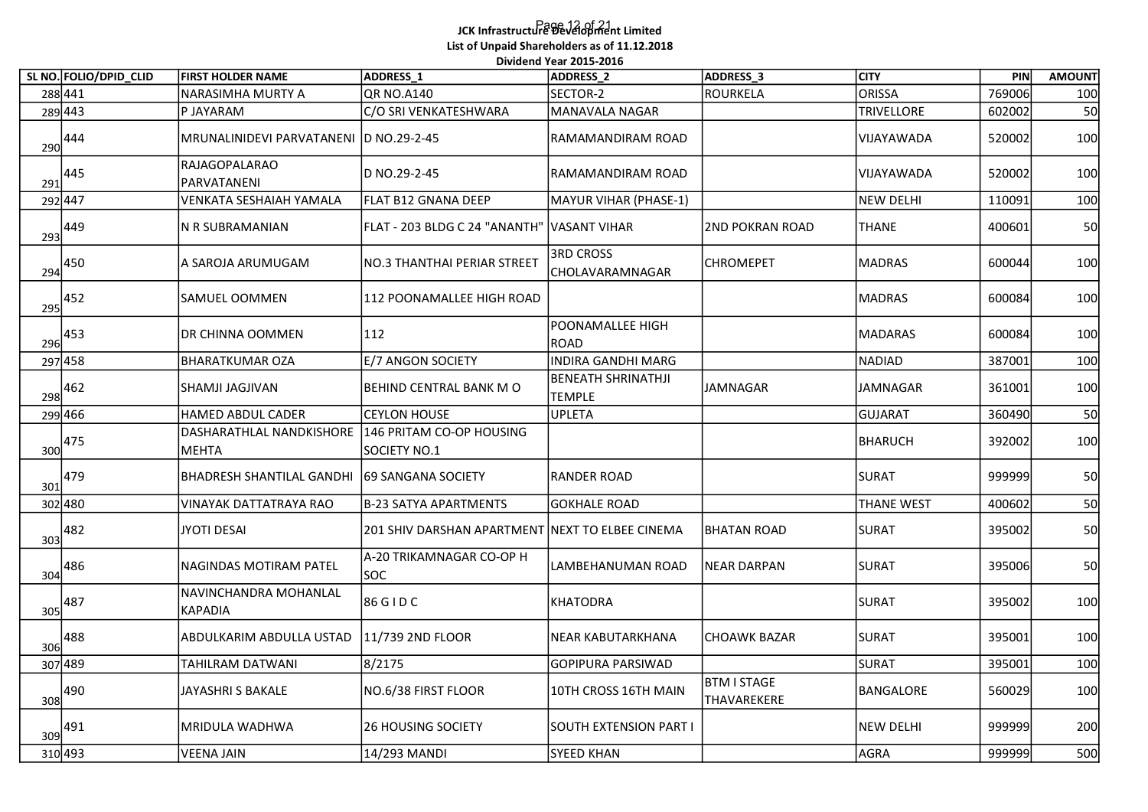## Page 12 of 21 JCK Infrastructure Development Limited List of Unpaid Shareholders as of 11.12.2018 .<br>Dividend Year 2015-2016

| SL NO. FOLIO/DPID_CLID         | <b>FIRST HOLDER NAME</b>                | ADDRESS <sub>1</sub>                            | Dividend Year 2015-2016<br>ADDRESS_2       | ADDRESS <sub>_3</sub>      | <b>CITY</b>       | PIN    | <b>AMOUNT</b> |
|--------------------------------|-----------------------------------------|-------------------------------------------------|--------------------------------------------|----------------------------|-------------------|--------|---------------|
| 288441                         | NARASIMHA MURTY A                       | QR NO.A140                                      | SECTOR-2                                   | ROURKELA                   | ORISSA            | 769006 | 100           |
| 289443                         | P JAYARAM                               | C/O SRI VENKATESHWARA                           | MANAVALA NAGAR                             |                            | <b>TRIVELLORE</b> | 602002 | 50            |
| 444<br>290                     | MRUNALINIDEVI PARVATANENI D NO.29-2-45  |                                                 | RAMAMANDIRAM ROAD                          |                            | VIJAYAWADA        | 520002 | 100           |
| 445<br>291                     | RAJAGOPALARAO<br>PARVATANENI            | D NO.29-2-45                                    | RAMAMANDIRAM ROAD                          |                            | VIJAYAWADA        | 520002 | 100           |
| 292447                         | VENKATA SESHAIAH YAMALA                 | FLAT B12 GNANA DEEP                             | MAYUR VIHAR (PHASE-1)                      |                            | NEW DELHI         | 110091 | 100           |
| 449<br>293                     | N R SUBRAMANIAN                         | FLAT - 203 BLDG C 24 "ANANTH" VASANT VIHAR      |                                            | 2ND POKRAN ROAD            | <b>THANE</b>      | 400601 | 50            |
| $\frac{294}{994}$ 450          | A SAROJA ARUMUGAM                       | NO.3 THANTHAI PERIAR STREET                     | 3RD CROSS<br>CHOLAVARAMNAGAR               | <b>CHROMEPET</b>           | <b>MADRAS</b>     | 600044 | 100           |
| $\frac{295}{2}$ <sup>452</sup> | SAMUEL OOMMEN                           | 112 POONAMALLEE HIGH ROAD                       |                                            |                            | <b>MADRAS</b>     | 600084 | 100           |
| 453<br>296                     | DR CHINNA OOMMEN                        | 112                                             | POONAMALLEE HIGH<br><b>ROAD</b>            |                            | <b>MADARAS</b>    | 600084 | 100           |
| 297 458                        | BHARATKUMAR OZA                         | E/7 ANGON SOCIETY                               | INDIRA GANDHI MARG                         |                            | <b>NADIAD</b>     | 387001 | 100           |
| $\frac{298}{2}$ 462            | SHAMJI JAGJIVAN                         | BEHIND CENTRAL BANK M O                         | <b>BENEATH SHRINATHJI</b><br><b>TEMPLE</b> | JAMNAGAR                   | JAMNAGAR          | 361001 | 100           |
| 299 466                        | HAMED ABDUL CADER                       | <b>CEYLON HOUSE</b>                             | UPLETA                                     |                            | GUJARAT           | 360490 | 50            |
| 475<br>300                     | DASHARATHLAL NANDKISHORE<br>MEHTA       | 146 PRITAM CO-OP HOUSING<br>SOCIETY NO.1        |                                            |                            | BHARUCH           | 392002 | 100           |
| $\frac{301}{ }479$             | <b>BHADRESH SHANTILAL GANDHI</b>        | 69 SANGANA SOCIETY                              | RANDER ROAD                                |                            | <b>SURAT</b>      | 999999 | 50            |
| 302 480                        | <b>VINAYAK DATTATRAYA RAO</b>           | B-23 SATYA APARTMENTS                           | GOKHALE ROAD                               |                            | <b>THANE WEST</b> | 400602 | 50            |
| 482<br>303                     | JYOTI DESAI                             | 201 SHIV DARSHAN APARTMENT NEXT TO ELBEE CINEMA |                                            | <b>BHATAN ROAD</b>         | <b>SURAT</b>      | 395002 | 50            |
| $\frac{1}{304}$ 486            | NAGINDAS MOTIRAM PATEL                  | A-20 TRIKAMNAGAR CO-OP H<br>SOC                 | LAMBEHANUMAN ROAD                          | <b>NEAR DARPAN</b>         | <b>SURAT</b>      | 395006 | 50            |
| $\frac{305}{ }487$             | NAVINCHANDRA MOHANLAL<br><b>KAPADIA</b> | 86 G I D C                                      | <b>KHATODRA</b>                            |                            | <b>SURAT</b>      | 395002 | 100           |
| $\frac{1}{306}$ 488            | ABDULKARIM ABDULLA USTAD                | 11/739 2ND FLOOR                                | NEAR KABUTARKHANA                          | <b>CHOAWK BAZAR</b>        | <b>SURAT</b>      | 395001 | 100           |
| 307 489                        | TAHILRAM DATWANI                        | 8/2175                                          | GOPIPURA PARSIWAD                          |                            | <b>SURAT</b>      | 395001 | 100           |
| $\frac{1}{308}$ 490            | JAYASHRI S BAKALE                       | NO.6/38 FIRST FLOOR                             | 10TH CROSS 16TH MAIN                       | BTM I STAGE<br>THAVAREKERE | BANGALORE         | 560029 | 100           |
| $\frac{309}{ }491$             | MRIDULA WADHWA                          | 26 HOUSING SOCIETY                              | SOUTH EXTENSION PART I                     |                            | <b>NEW DELHI</b>  | 999999 | 200           |
| 310 493                        | <b>VEENA JAIN</b>                       | 14/293 MANDI                                    | <b>SYEED KHAN</b>                          |                            | AGRA              | 999999 | 500           |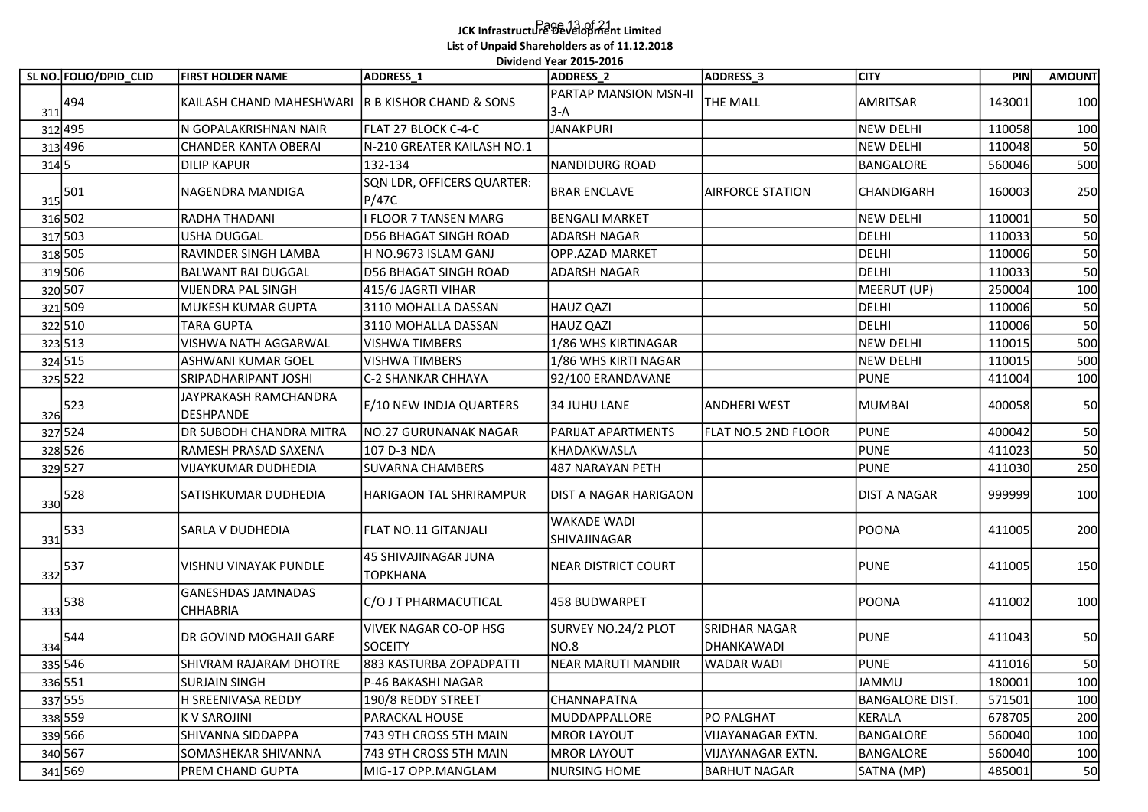## Page 13 of 21 JCK Infrastructure Development Limited List of Unpaid Shareholders as of 11.12.2018

|                                                               |                                                  |                                            | Dividend Year 2015-2016                          |                             |                       |                  |               |
|---------------------------------------------------------------|--------------------------------------------------|--------------------------------------------|--------------------------------------------------|-----------------------------|-----------------------|------------------|---------------|
| SL NO. FOLIO/DPID_CLID                                        | <b>FIRST HOLDER NAME</b>                         | ADDRESS 1                                  | <b>ADDRESS 2</b><br><b>PARTAP MANSION MSN-II</b> | ADDRESS_3                   | <b>CITY</b>           | PIN              | <b>AMOUNT</b> |
| 494<br>311                                                    | KAILASH CHAND MAHESHWARI R B KISHOR CHAND & SONS |                                            | 3-A                                              | <b>THE MALL</b>             | <b>AMRITSAR</b>       | 143001           | 100           |
| 312 495                                                       | N GOPALAKRISHNAN NAIR                            | FLAT 27 BLOCK C-4-C                        | JANAKPURI                                        |                             | <b>NEW DELHI</b>      | 110058           | 100           |
| 313 496                                                       | <b>CHANDER KANTA OBERAI</b>                      | N-210 GREATER KAILASH NO.1                 |                                                  |                             | <b>NEW DELHI</b>      | 110048           | 50            |
| 314 5                                                         | DILIP KAPUR                                      | 132-134                                    | NANDIDURG ROAD                                   |                             | <b>BANGALORE</b>      | 560046           | 500           |
| $\frac{315}{2}$ 501                                           | NAGENDRA MANDIGA                                 | SQN LDR, OFFICERS QUARTER:<br><b>P/47C</b> | <b>BRAR ENCLAVE</b>                              | <b>AIRFORCE STATION</b>     | CHANDIGARH            | 160003           | 250           |
| 316 502                                                       | RADHA THADANI                                    | I FLOOR 7 TANSEN MARG                      | <b>BENGALI MARKET</b>                            |                             | <b>NEW DELHI</b>      | 110001           | 50            |
| 317 503                                                       | <b>USHA DUGGAL</b>                               | D56 BHAGAT SINGH ROAD                      | ADARSH NAGAR                                     |                             | <b>DELHI</b>          | 110033           | 50            |
| 318 505                                                       | <b>RAVINDER SINGH LAMBA</b>                      | H NO.9673 ISLAM GANJ                       | OPP.AZAD MARKET                                  |                             | <b>DELHI</b>          | 110006           | 50            |
| 319 506                                                       | <b>BALWANT RAI DUGGAL</b>                        | <b>D56 BHAGAT SINGH ROAD</b>               | <b>ADARSH NAGAR</b>                              |                             | <b>DELHI</b>          | 110033           | 50            |
| 320 507                                                       | <b>VIJENDRA PAL SINGH</b>                        | 415/6 JAGRTI VIHAR                         |                                                  |                             | MEERUT (UP)           | 250004<br>110006 | 100           |
| 321 509                                                       | MUKESH KUMAR GUPTA<br><b>TARA GUPTA</b>          | 3110 MOHALLA DASSAN<br>3110 MOHALLA DASSAN | HAUZ QAZI<br>HAUZ QAZI                           |                             | <b>DELHI</b><br>DELHI | 110006           | 50<br>50      |
| 322 510<br>323 513                                            | <b>VISHWA NATH AGGARWAL</b>                      | VISHWA TIMBERS                             | 1/86 WHS KIRTINAGAR                              |                             | <b>NEW DELHI</b>      | 110015           | 500           |
| 324 515                                                       | ASHWANI KUMAR GOEL                               | VISHWA TIMBERS                             | 1/86 WHS KIRTI NAGAR                             |                             | <b>NEW DELHI</b>      | 110015           | 500           |
| 325 522                                                       | SRIPADHARIPANT JOSHI                             | C-2 SHANKAR CHHAYA                         | 92/100 ERANDAVANE                                |                             | <b>PUNE</b>           | 411004           | 100           |
| $\frac{326}{ }$ 523                                           | JAYPRAKASH RAMCHANDRA<br>DESHPANDE               | E/10 NEW INDJA QUARTERS                    | 34 JUHU LANE                                     | <b>ANDHERI WEST</b>         | <b>MUMBAI</b>         | 400058           | 50            |
| 327 524                                                       | DR SUBODH CHANDRA MITRA                          | NO.27 GURUNANAK NAGAR                      | <b>PARIJAT APARTMENTS</b>                        | FLAT NO.5 2ND FLOOR         | <b>PUNE</b>           | 400042           | 50            |
| 328 526                                                       | RAMESH PRASAD SAXENA                             | 107 D-3 NDA                                | KHADAKWASLA                                      |                             | <b>PUNE</b>           | 411023           | 50            |
| 329 527                                                       | <b>VIJAYKUMAR DUDHEDIA</b>                       | <b>SUVARNA CHAMBERS</b>                    | 487 NARAYAN PETH                                 |                             | <b>PUNE</b>           | 411030           | 250           |
| $\frac{330}{528}$                                             | SATISHKUMAR DUDHEDIA                             | HARIGAON TAL SHRIRAMPUR                    | <b>DIST A NAGAR HARIGAON</b>                     |                             | <b>DIST A NAGAR</b>   | 999999           | 100           |
| 533<br>331                                                    | SARLA V DUDHEDIA                                 | FLAT NO.11 GITANJALI                       | WAKADE WADI<br>SHIVAJINAGAR                      |                             | <b>POONA</b>          | 411005           | 200           |
| $\begin{array}{c c} & 537 \\ \underline{332} & & \end{array}$ | VISHNU VINAYAK PUNDLE                            | 45 SHIVAJINAGAR JUNA<br><b>TOPKHANA</b>    | NEAR DISTRICT COURT                              |                             | <b>PUNE</b>           | 411005           | 150           |
| $\frac{333}{ }$ 538                                           | <b>GANESHDAS JAMNADAS</b><br><b>CHHABRIA</b>     | C/O J T PHARMACUTICAL                      | 458 BUDWARPET                                    |                             | <b>POONA</b>          | 411002           | 100           |
| $\frac{334}{9}$ 544                                           | DR GOVIND MOGHAJI GARE                           | <b>VIVEK NAGAR CO-OP HSG</b><br>SOCEITY    | SURVEY NO.24/2 PLOT<br>INO.8                     | SRIDHAR NAGAR<br>DHANKAWADI | <b>PUNE</b>           | 411043           | 50            |
| 335 546                                                       | SHIVRAM RAJARAM DHOTRE                           | 883 KASTURBA ZOPADPATTI                    | NEAR MARUTI MANDIR                               | WADAR WADI                  | <b>PUNE</b>           | 411016           | 50            |
| 336 551                                                       | <b>SURJAIN SINGH</b>                             | P-46 BAKASHI NAGAR                         |                                                  |                             | <b>JAMMU</b>          | 180001           | 100           |
| 337 555                                                       | H SREENIVASA REDDY                               | 190/8 REDDY STREET                         | CHANNAPATNA                                      |                             | <b>BANGALORE DIST</b> | 571501           | 100           |
| 338 559                                                       | K V SAROJINI                                     | <b>PARACKAL HOUSE</b>                      | MUDDAPPALLORE                                    | <b>PO PALGHAT</b>           | KERALA                | 678705           | 200           |
| 339 566                                                       | SHIVANNA SIDDAPPA                                | 743 9TH CROSS 5TH MAIN                     | MROR LAYOUT                                      | <b>VIJAYANAGAR EXTN.</b>    | <b>BANGALORE</b>      | 560040           | 100           |
| 340 567                                                       | SOMASHEKAR SHIVANNA                              | 743 9TH CROSS 5TH MAIN                     | MROR LAYOUT                                      | <b>VIJAYANAGAR EXTN.</b>    | BANGALORE             | 560040           | 100           |
| 341 569                                                       | PREM CHAND GUPTA                                 | MIG-17 OPP.MANGLAM                         | NURSING HOME                                     | <b>BARHUT NAGAR</b>         | SATNA (MP)            | 485001           | 50            |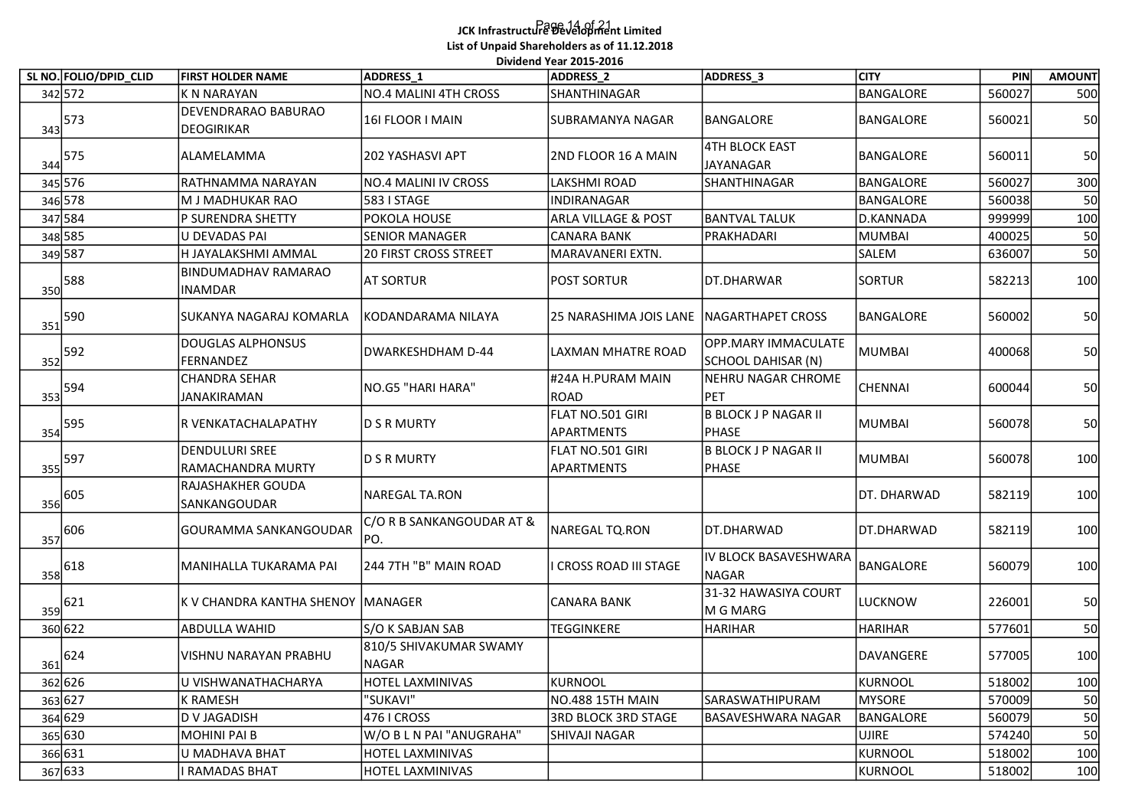## Page 14 of 21 JCK Infrastructure Development Limited List of Unpaid Shareholders as of 11.12.2018 .<br>Dividend Year 2015-2016

|                                       | SL NO. FOLIO/DPID_CLID | <b>FIRST HOLDER NAME</b>                          | ADDRESS <sub>1</sub>              | Dividend Year 2015-2016<br>ADDRESS_2     | ADDRESS_3                                 | <b>CITY</b>      | PIN    | <b>AMOUNT</b> |
|---------------------------------------|------------------------|---------------------------------------------------|-----------------------------------|------------------------------------------|-------------------------------------------|------------------|--------|---------------|
| 342 572                               |                        | K N NARAYAN                                       | NO.4 MALINI 4TH CROSS             | SHANTHINAGAR                             |                                           | BANGALORE        | 560027 | 500           |
| $\frac{343}{573}$                     |                        | DEVENDRARAO BABURAO<br>DEOGIRIKAR                 | 16I FLOOR I MAIN                  | SUBRAMANYA NAGAR                         | BANGALORE                                 | BANGALORE        | 560021 | 50            |
| $344$ 575                             |                        | ALAMELAMMA                                        | 202 YASHASVI APT                  | 2ND FLOOR 16 A MAIN                      | 4TH BLOCK EAST<br>JAYANAGAR               | BANGALORE        | 560011 | 50            |
| 345 576                               |                        | RATHNAMMA NARAYAN                                 | NO.4 MALINI IV CROSS              | LAKSHMI ROAD                             | SHANTHINAGAR                              | <b>BANGALORE</b> | 560027 | 300           |
| 346 578                               |                        | M J MADHUKAR RAO                                  | 583   STAGE                       | INDIRANAGAR                              |                                           | <b>BANGALORE</b> | 560038 | 50            |
| 347 584                               |                        | P SURENDRA SHETTY                                 | POKOLA HOUSE                      | <b>ARLA VILLAGE &amp; POST</b>           | <b>BANTVAL TALUK</b>                      | D.KANNADA        | 999999 | 100           |
| 348 585                               |                        | U DEVADAS PAI                                     | <b>SENIOR MANAGER</b>             | CANARA BANK                              | PRAKHADARI                                | <b>MUMBAI</b>    | 400025 | 50            |
| 349 587                               |                        | H JAYALAKSHMI AMMAL                               | 20 FIRST CROSS STREET             | MARAVANERI EXTN.                         |                                           | <b>SALEM</b>     | 636007 | 50            |
| $\frac{350}{588}$                     |                        | <b>BINDUMADHAV RAMARAO</b><br><b>INAMDAR</b>      | <b>AT SORTUR</b>                  | <b>POST SORTUR</b>                       | DT.DHARWAR                                | SORTUR           | 582213 | 100           |
| 590<br>351                            |                        | <b>SUKANYA NAGARAJ KOMARLA</b>                    | KODANDARAMA NILAYA                | 25 NARASHIMA JOIS LANE NAGARTHAPET CROSS |                                           | BANGALORE        | 560002 | 50            |
| $\begin{array}{c}\n 352\n\end{array}$ |                        | DOUGLAS ALPHONSUS<br>FERNANDEZ                    | DWARKESHDHAM D-44                 | LAXMAN MHATRE ROAD                       | OPP.MARY IMMACULATE<br>SCHOOL DAHISAR (N) | <b>MUMBAI</b>    | 400068 | 50            |
| $\frac{353}{ }$ 594                   |                        | <b>CHANDRA SEHAR</b><br><b>JANAKIRAMAN</b>        | NO.G5 "HARI HARA"                 | #24A H.PURAM MAIN<br>ROAD                | NEHRU NAGAR CHROME<br>PET                 | CHENNAI          | 600044 | 50            |
| $\frac{354}{ }$ 595                   |                        | R VENKATACHALAPATHY                               | D S R MURTY                       | FLAT NO.501 GIRI<br>APARTMENTS           | <b>B BLOCK J P NAGAR II</b><br>PHASE      | <b>MUMBAI</b>    | 560078 | 50            |
| $\frac{355}{ }$ 597                   |                        | <b>DENDULURI SREE</b><br><b>RAMACHANDRA MURTY</b> | D S R MURTY                       | FLAT NO.501 GIRI<br>APARTMENTS           | B BLOCK J P NAGAR II<br>PHASE             | <b>MUMBAI</b>    | 560078 | 100           |
| $\frac{356}{9}$ 605                   |                        | RAJASHAKHER GOUDA<br>SANKANGOUDAR                 | NAREGAL TA.RON                    |                                          |                                           | DT. DHARWAD      | 582119 | 100           |
| $\frac{357}{ }606$                    |                        | GOURAMMA SANKANGOUDAR                             | C/O R B SANKANGOUDAR AT &<br>IPO. | NAREGAL TQ.RON                           | DT.DHARWAD                                | DT.DHARWAD       | 582119 | 100           |
| $\frac{1}{358}$ 618                   |                        | MANIHALLA TUKARAMA PAI                            | 244 7TH "B" MAIN ROAD             | I CROSS ROAD III STAGE                   | IV BLOCK BASAVESHWARA<br><b>NAGAR</b>     | BANGALORE        | 560079 | 100           |
| $\frac{359}{ }621$                    |                        | K V CHANDRA KANTHA SHENOY MANAGER                 |                                   | CANARA BANK                              | 31-32 HAWASIYA COURT<br>M G MARG          | LUCKNOW          | 226001 | 50            |
| 360 622                               |                        | ABDULLA WAHID                                     | S/O K SABJAN SAB                  | TEGGINKERE                               | <b>HARIHAR</b>                            | <b>HARIHAR</b>   | 577601 | 50            |
| $\frac{361}{2}$ 624                   |                        | VISHNU NARAYAN PRABHU                             | 810/5 SHIVAKUMAR SWAMY<br>NAGAR   |                                          |                                           | DAVANGERE        | 577005 | 100           |
| 362 626                               |                        | U VISHWANATHACHARYA                               | HOTEL LAXMINIVAS                  | KURNOOL                                  |                                           | <b>KURNOOL</b>   | 518002 | 100           |
| 363 627                               |                        | K RAMESH                                          | "SUKAVI"                          | NO.488 15TH MAIN                         | SARASWATHIPURAM                           | <b>MYSORE</b>    | 570009 | 50            |
| 364 629                               |                        | D V JAGADISH                                      | 476 I CROSS                       | <b>3RD BLOCK 3RD STAGE</b>               | <b>BASAVESHWARA NAGAR</b>                 | <b>BANGALORE</b> | 560079 | 50            |
| 365 630                               |                        | <b>MOHINI PAI B</b>                               | W/O B L N PAI "ANUGRAHA"          | <b>SHIVAJI NAGAR</b>                     |                                           | <b>UJIRE</b>     | 574240 | 50            |
| 366 631                               |                        | U MADHAVA BHAT                                    | HOTEL LAXMINIVAS                  |                                          |                                           | <b>KURNOOL</b>   | 518002 | 100           |
| 367 633                               |                        | I RAMADAS BHAT                                    | HOTEL LAXMINIVAS                  |                                          |                                           | <b>KURNOOL</b>   | 518002 | 100           |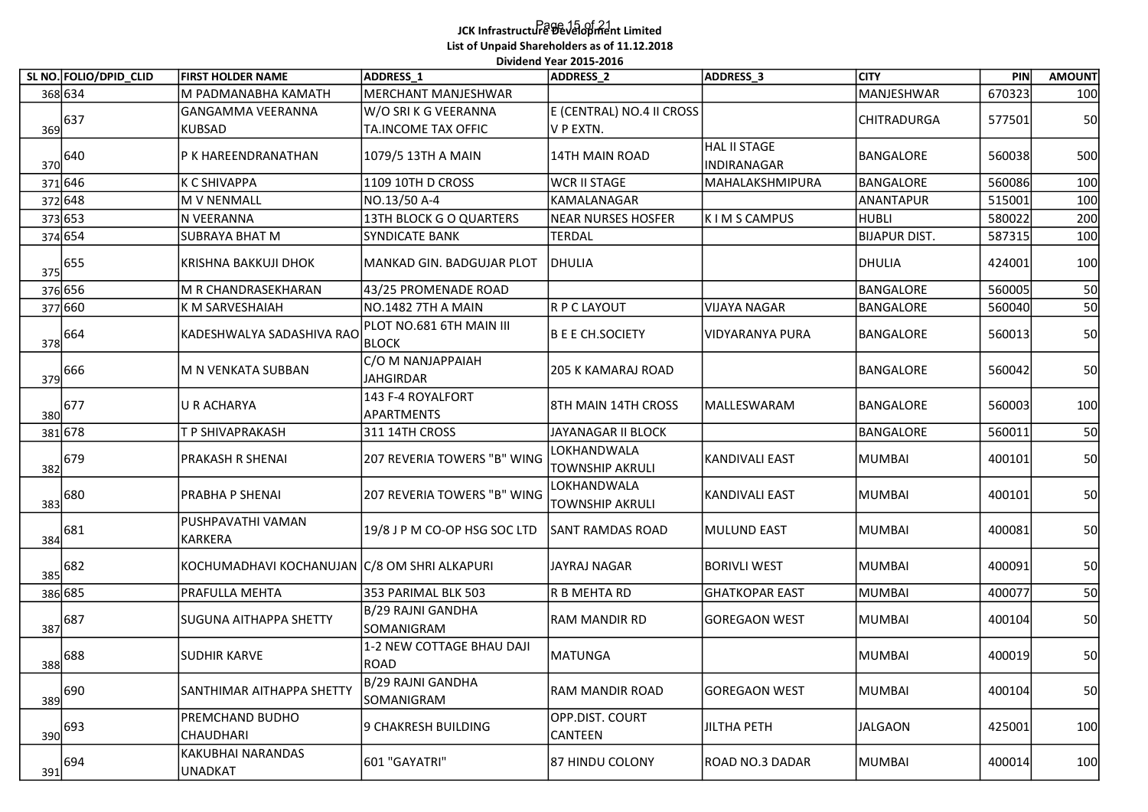## Page 15 of 21 JCK Infrastructure Development Limited List of Unpaid Shareholders as of 11.12.2018 .<br>Dividend Year 2015-2016

| SL NO. FOLIO/DPID_CLID | <b>FIRST HOLDER NAME</b>                        | ADDRESS <sub>1</sub>         | Dividend Year 2015-2016<br>ADDRESS_2 | ADDRESS_3             | <b>CITY</b>          | PIN    |               |
|------------------------|-------------------------------------------------|------------------------------|--------------------------------------|-----------------------|----------------------|--------|---------------|
|                        |                                                 | MERCHANT MANJESHWAR          |                                      |                       | MANJESHWAR           | 670323 | <b>AMOUNT</b> |
| 368 634                | M PADMANABHA KAMATH<br><b>GANGAMMA VEERANNA</b> |                              | E (CENTRAL) NO.4 II CROSS            |                       |                      |        | 100           |
| 369 637                |                                                 | W/O SRI K G VEERANNA         | V P EXTN.                            |                       | <b>CHITRADURGA</b>   | 577501 | 50            |
|                        | <b>KUBSAD</b>                                   | TA.INCOME TAX OFFIC          |                                      | HAL II STAGE          |                      |        |               |
| $370 ^{640}$           | P K HAREENDRANATHAN                             | 1079/5 13TH A MAIN           | 14TH MAIN ROAD                       | INDIRANAGAR           | BANGALORE            | 560038 | 500           |
| 371 646                | <b>K C SHIVAPPA</b>                             | 1109 10TH D CROSS            | WCR II STAGE                         | MAHALAKSHMIPURA       | <b>BANGALORE</b>     | 560086 | 100           |
| 372 648                | M V NENMALL                                     | NO.13/50 A-4                 | KAMALANAGAR                          |                       | ANANTAPUR            | 515001 | 100           |
| 373 653                | N VEERANNA                                      | 13TH BLOCK G O QUARTERS      | NEAR NURSES HOSFER                   | K I M S CAMPUS        | HUBLI                | 580022 | 200           |
| 374 654                | <b>SUBRAYA BHAT M</b>                           | SYNDICATE BANK               | <b>TERDAL</b>                        |                       | <b>BIJAPUR DIST.</b> | 587315 | 100           |
|                        |                                                 |                              |                                      |                       |                      |        |               |
| $\frac{375}{5}$ 655    | KRISHNA BAKKUJI DHOK                            | MANKAD GIN. BADGUJAR PLOT    | DHULIA                               |                       | <b>DHULIA</b>        | 424001 | 100           |
| 376 656                | M R CHANDRASEKHARAN                             | 43/25 PROMENADE ROAD         |                                      |                       | BANGALORE            | 560005 | 50            |
| 377 660                | K M SARVESHAIAH                                 | NO.1482 7TH A MAIN           | R P C LAYOUT                         | <b>VIJAYA NAGAR</b>   | BANGALORE            | 560040 | 50            |
|                        |                                                 | PLOT NO.681 6TH MAIN III     |                                      |                       |                      |        |               |
| $\frac{378}{9}$ 664    | KADESHWALYA SADASHIVA RAO                       | <b>BLOCK</b>                 | B E E CH.SOCIETY                     | VIDYARANYA PURA       | BANGALORE            | 560013 | 50            |
|                        |                                                 | C/O M NANJAPPAIAH            |                                      |                       |                      |        |               |
| $\frac{1}{379}$ 666    | M N VENKATA SUBBAN                              | <b>JAHGIRDAR</b>             | 205 K KAMARAJ ROAD                   |                       | BANGALORE            | 560042 | 50            |
|                        |                                                 | 143 F-4 ROYALFORT            |                                      |                       |                      |        |               |
| $\frac{380}{9}$ 677    | <b>U R ACHARYA</b>                              | APARTMENTS                   | 8TH MAIN 14TH CROSS                  | MALLESWARAM           | BANGALORE            | 560003 | 100           |
| 381 678                | T P SHIVAPRAKASH                                | 311 14TH CROSS               | JAYANAGAR II BLOCK                   |                       | BANGALORE            | 560011 | 50            |
|                        |                                                 |                              | LOKHANDWALA                          |                       |                      |        |               |
| $\frac{382}{9}$ 679    | PRAKASH R SHENAI                                | 207 REVERIA TOWERS "B" WING  | <b>TOWNSHIP AKRULI</b>               | KANDIVALI EAST        | MUMBAI               | 400101 | 50            |
|                        |                                                 |                              | LOKHANDWALA                          |                       |                      |        |               |
| $\frac{383}{980}$      | PRABHA P SHENAI                                 | 207 REVERIA TOWERS "B" WING  | <b>TOWNSHIP AKRULI</b>               | KANDIVALI EAST        | MUMBAI               | 400101 | 50            |
|                        | PUSHPAVATHI VAMAN                               |                              |                                      |                       |                      |        |               |
| $\frac{384}{981}$      | <b>KARKERA</b>                                  | 19/8 J P M CO-OP HSG SOC LTD | <b>SANT RAMDAS ROAD</b>              | MULUND EAST           | MUMBAI               | 400081 | 50            |
|                        |                                                 |                              |                                      |                       |                      |        |               |
| $\frac{385}{ }682$     | KOCHUMADHAVI KOCHANUJAN C/8 OM SHRI ALKAPURI    |                              | JAYRAJ NAGAR                         | <b>BORIVLI WEST</b>   | <b>MUMBAI</b>        | 400091 | 50            |
| 386 685                | PRAFULLA MEHTA                                  | 353 PARIMAL BLK 503          | R B MEHTA RD                         | <b>GHATKOPAR EAST</b> | MUMBAI               | 400077 | 50            |
|                        |                                                 | B/29 RAJNI GANDHA            |                                      |                       |                      |        |               |
| $\frac{387}{9}$ 687    | <b>SUGUNA AITHAPPA SHETTY</b>                   | SOMANIGRAM                   | RAM MANDIR RD                        | GOREGAON WEST         | MUMBAI               | 400104 | 50            |
|                        |                                                 | 1-2 NEW COTTAGE BHAU DAJI    |                                      |                       |                      |        |               |
| $\frac{388}{988}$ 688  | SUDHIR KARVE                                    | ROAD                         | MATUNGA                              |                       | MUMBAI               | 400019 | 50            |
|                        |                                                 | B/29 RAJNI GANDHA            |                                      |                       |                      |        |               |
| $\frac{1}{389}$ 690    | SANTHIMAR AITHAPPA SHETTY                       | SOMANIGRAM                   | RAM MANDIR ROAD                      | <b>GOREGAON WEST</b>  | <b>MUMBAI</b>        | 400104 | 50            |
|                        | PREMCHAND BUDHO                                 |                              | OPP.DIST. COURT                      |                       |                      |        |               |
| $\frac{390}{993}$      | CHAUDHARI                                       | 9 CHAKRESH BUILDING          | CANTEEN                              | JILTHA PETH           | JALGAON              | 425001 | 100           |
|                        | KAKUBHAI NARANDAS                               |                              |                                      |                       |                      |        |               |
| 694<br>391             | UNADKAT                                         | 601 "GAYATRI"                | 87 HINDU COLONY                      | ROAD NO.3 DADAR       | MUMBAI               | 400014 | 100           |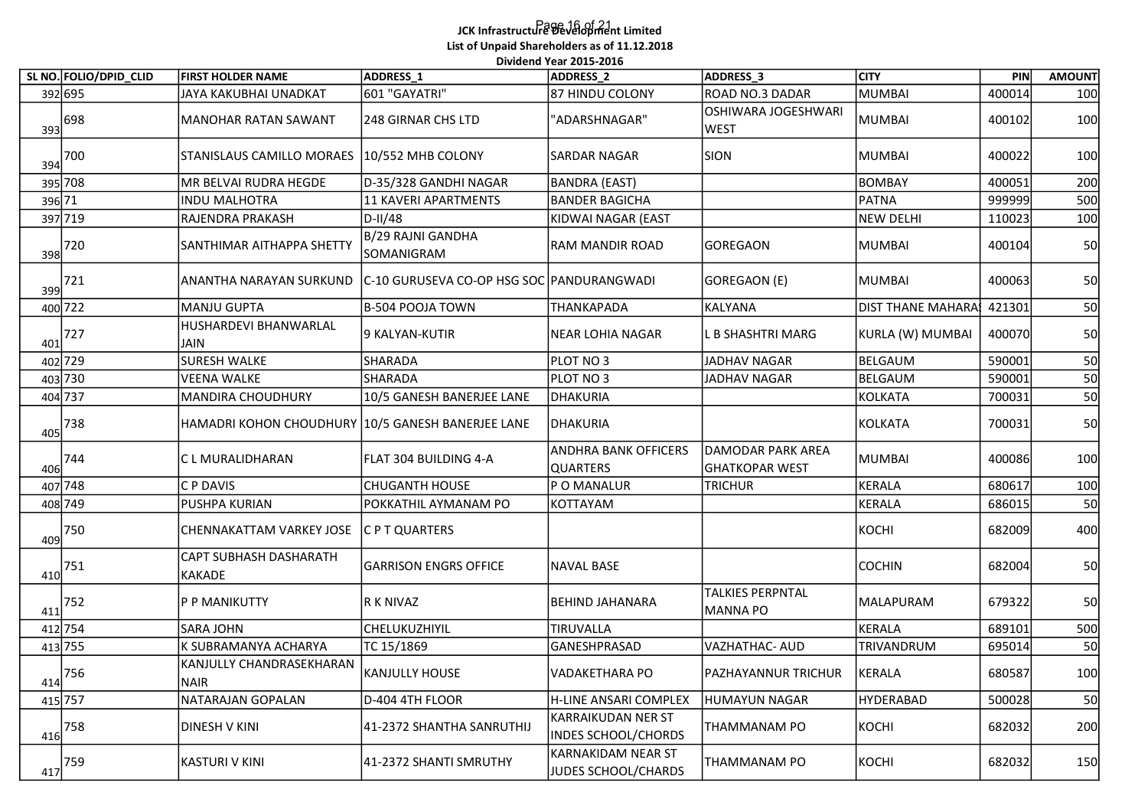## Page 16 of 21 JCK Infrastructure Development Limited List of Unpaid Shareholders as of 11.12.2018 .<br>Dividend Year 2015-2016

|        |                                 |                                                   | List of Unpaid Shareholders as of 11.12.2018 | Dividend Year 2015-2016                        |                                                       |                                |                  |               |
|--------|---------------------------------|---------------------------------------------------|----------------------------------------------|------------------------------------------------|-------------------------------------------------------|--------------------------------|------------------|---------------|
|        | SL NO. FOLIO/DPID_CLID          | <b>FIRST HOLDER NAME</b>                          | ADDRESS <sub>1</sub>                         | ADDRESS_2                                      | ADDRESS_3                                             | <b>CITY</b>                    | <b>PIN</b>       | <b>AMOUNT</b> |
|        | 392 695<br>$\frac{393}{98}$ 698 | JAYA KAKUBHAI UNADKAT<br>MANOHAR RATAN SAWANT     | 601 "GAYATRI"<br>248 GIRNAR CHS LTD          | 87 HINDU COLONY<br>"ADARSHNAGAR"               | ROAD NO.3 DADAR<br>OSHIWARA JOGESHWARI<br><b>WEST</b> | <b>MUMBAI</b><br><b>MUMBAI</b> | 400014<br>400102 | 100<br>100    |
|        | $\frac{394}{200}$               | STANISLAUS CAMILLO MORAES 10/552 MHB COLONY       |                                              | <b>SARDAR NAGAR</b>                            | SION                                                  | <b>MUMBAI</b>                  | 400022           | 100           |
|        | 395 708                         | MR BELVAI RUDRA HEGDE                             | D-35/328 GANDHI NAGAR                        | BANDRA (EAST)                                  |                                                       | <b>BOMBAY</b>                  | 400051           | 200           |
| 396 71 |                                 | <b>INDU MALHOTRA</b>                              | 11 KAVERI APARTMENTS                         | <b>BANDER BAGICHA</b>                          |                                                       | <b>PATNA</b>                   | 999999           | 500           |
|        | 397 719                         | RAJENDRA PRAKASH                                  | D-II/48                                      | KIDWAI NAGAR (EAST                             |                                                       | <b>NEW DELHI</b>               | 110023           | 100           |
|        | $\frac{398}{200}$               | <b>SANTHIMAR AITHAPPA SHETTY</b>                  | B/29 RAJNI GANDHA<br>SOMANIGRAM              | <b>RAM MANDIR ROAD</b>                         | GOREGAON                                              | <b>MUMBAI</b>                  | 400104           | 50            |
|        | $399$ 721                       | <b>ANANTHA NARAYAN SURKUND</b>                    | C-10 GURUSEVA CO-OP HSG SOC PANDURANGWADI    |                                                | GOREGAON (E)                                          | MUMBAI                         | 400063           | 50            |
|        | 400 722                         | MANJU GUPTA                                       | B-504 POOJA TOWN                             | <b>THANKAPADA</b>                              | KALYANA                                               | <b>DIST THANE MAHARA!</b>      | 421301           | 50            |
| 401    | 727                             | HUSHARDEVI BHANWARLAL<br><b>JAIN</b>              | 9 KALYAN-KUTIR                               | NEAR LOHIA NAGAR                               | L B SHASHTRI MARG                                     | KURLA (W) MUMBAI               | 400070           | 50            |
|        | 402 729                         | SURESH WALKE                                      | SHARADA                                      | PLOT NO 3                                      | JADHAV NAGAR                                          | BELGAUM                        | 590001           | 50<br>ں ب     |
|        | 403 730                         | <b>VEENA WALKE</b>                                | SHARADA                                      | PLOT NO 3                                      | <b>JADHAV NAGAR</b>                                   | BELGAUM                        | 590001           | 50            |
|        | 404 737                         | MANDIRA CHOUDHURY                                 | 10/5 GANESH BANERJEE LANE                    | DHAKURIA                                       |                                                       | <b>KOLKATA</b>                 | 700031           | 50            |
| 405    | 738                             | HAMADRI KOHON CHOUDHURY 10/5 GANESH BANERJEE LANE |                                              | <b>DHAKURIA</b>                                |                                                       | <b>KOLKATA</b>                 | 700031           | 50            |
|        | $406$ <sup>744</sup>            | C L MURALIDHARAN                                  | FLAT 304 BUILDING 4-A                        | <b>ANDHRA BANK OFFICERS</b><br><b>QUARTERS</b> | DAMODAR PARK AREA<br>GHATKOPAR WEST                   | <b>MUMBAI</b>                  | 400086           | 100           |
|        | 407 748                         | C P DAVIS                                         | <b>CHUGANTH HOUSE</b>                        | P O MANALUR                                    | <b>TRICHUR</b>                                        | <b>KERALA</b>                  | 680617           | 100           |
|        | 408 749                         | PUSHPA KURIAN                                     | POKKATHIL AYMANAM PO                         | KOTTAYAM                                       |                                                       | <b>KERALA</b>                  | 686015           | 50            |
|        | $409$ 750                       | CHENNAKATTAM VARKEY JOSE                          | C P T QUARTERS                               |                                                |                                                       | KOCHI                          | 682009           | 400           |
| 410    | 751                             | <b>CAPT SUBHASH DASHARATH</b><br>KAKADE           | <b>GARRISON ENGRS OFFICE</b>                 | NAVAL BASE                                     |                                                       | <b>COCHIN</b>                  | 682004           | 50            |
| 411    | 752                             | P P MANIKUTTY                                     | R K NIVAZ                                    | <b>BEHIND JAHANARA</b>                         | <b>TALKIES PERPNTAL</b><br>MANNA PO                   | MALAPURAM                      | 679322           | 50            |
|        | 412 754                         | <b>SARA JOHN</b>                                  | CHELUKUZHIYIL                                | TIRUVALLA                                      |                                                       | KERALA                         | 689101           | 500           |
|        | 413 755                         | K SUBRAMANYA ACHARYA                              | TC 15/1869                                   | GANESHPRASAD                                   | <b>VAZHATHAC- AUD</b>                                 | TRIVANDRUM                     | 695014           | 50            |
|        | $414$ 756                       | KANJULLY CHANDRASEKHARAN<br>NAIR                  | KANJULLY HOUSE                               | VADAKETHARA PO                                 | PAZHAYANNUR TRICHUR                                   | KERALA                         | 680587           | 100           |
|        | 415 757                         | NATARAJAN GOPALAN                                 | D-404 4TH FLOOR                              | H-LINE ANSARI COMPLEX                          | HUMAYUN NAGAR                                         | <b>HYDERABAD</b>               | 500028           | 50            |
|        | $\frac{416}{ }$ 758             | DINESH V KINI                                     | 41-2372 SHANTHA SANRUTHIJ                    | KARRAIKUDAN NER ST<br>INDES SCHOOL/CHORDS      | THAMMANAM PO                                          | KOCHI                          | 682032           | 200           |
|        | $417$ <sup>759</sup>            | KASTURI V KINI                                    | 41-2372 SHANTI SMRUTHY                       | KARNAKIDAM NEAR ST<br>JUDES SCHOOL/CHARDS      | THAMMANAM PO                                          | KOCHI                          | 682032           | 150           |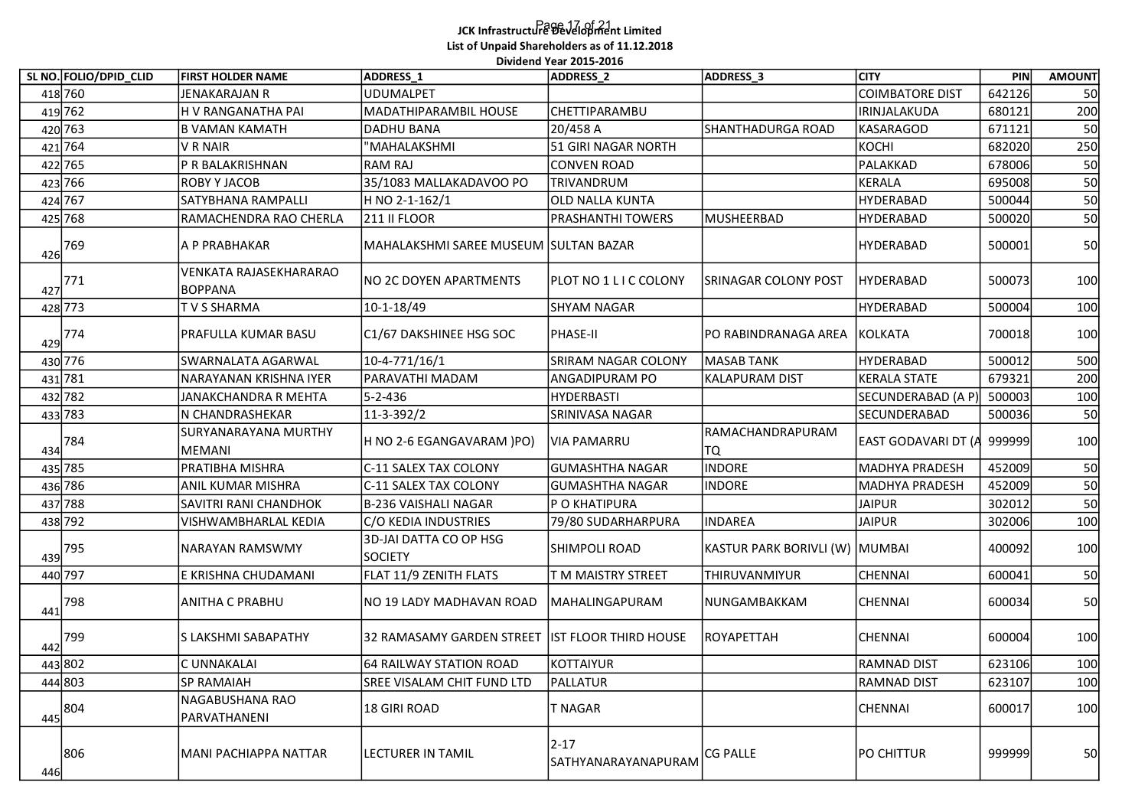## Page 17 of 21 JCK Infrastructure Development Limited List of Unpaid Shareholders as of 11.12.2018 .<br>Dividend Year 2015-2016

|     | SL NO. FOLIO/DPID_CLID | <b>FIRST HOLDER NAME</b>                 | Dividend Year 2015-2016<br>ADDRESS_1              | ADDRESS_2                        | ADDRESS_3                      | <b>CITY</b>                | PIN    | <b>AMOUNT</b> |
|-----|------------------------|------------------------------------------|---------------------------------------------------|----------------------------------|--------------------------------|----------------------------|--------|---------------|
|     | 418 760                | <b>JENAKARAJAN R</b>                     | <b>UDUMALPET</b>                                  |                                  |                                | COIMBATORE DIST            | 642126 | 50            |
|     | 419 762                | H V RANGANATHA PAI                       | MADATHIPARAMBIL HOUSE                             | CHETTIPARAMBU                    |                                | IRINJALAKUDA               | 680121 | 200           |
|     |                        | <b>B VAMAN KAMATH</b>                    |                                                   | 20/458 A                         |                                |                            | 671121 |               |
|     | 420 763<br>421 764     | V R NAIR                                 | DADHU BANA<br>"MAHALAKSHMI                        | 51 GIRI NAGAR NORTH              | SHANTHADURGA ROAD              | KASARAGOD<br>KOCHI         | 682020 | 50<br>250     |
|     | 422 765                | P R BALAKRISHNAN                         | RAM RAJ                                           | <b>CONVEN ROAD</b>               |                                | PALAKKAD                   | 678006 | 50            |
|     | 423 766                | ROBY Y JACOB                             | 35/1083 MALLAKADAVOO PO                           | TRIVANDRUM                       |                                | <b>KERALA</b>              | 695008 | 50            |
|     | 424 767                | SATYBHANA RAMPALLI                       | H NO 2-1-162/1                                    | <b>OLD NALLA KUNTA</b>           |                                | HYDERABAD                  | 500044 | 50            |
|     | 425 768                | RAMACHENDRA RAO CHERLA                   | 211 II FLOOR                                      | <b>PRASHANTHI TOWERS</b>         | MUSHEERBAD                     | HYDERABAD                  | 500020 | 50            |
| 426 | 769                    | A P PRABHAKAR                            | MAHALAKSHMI SAREE MUSEUM SULTAN BAZAR             |                                  |                                | HYDERABAD                  | 500001 | 50            |
|     | $427$ <sup>771</sup>   | VENKATA RAJASEKHARARAO<br><b>BOPPANA</b> | NO 2C DOYEN APARTMENTS                            | PLOT NO 1 L I C COLONY           | <b>SRINAGAR COLONY POST</b>    | <b>HYDERABAD</b>           | 500073 | 100           |
|     | 428 773                | TVS SHARMA                               | 10-1-18/49                                        | SHYAM NAGAR                      |                                | HYDERABAD                  | 500004 | 100           |
| 429 | 774                    | PRAFULLA KUMAR BASU                      | C1/67 DAKSHINEE HSG SOC                           | PHASE-II                         | PO RABINDRANAGA AREA KOLKATA   |                            | 700018 | 100           |
|     | 430 776                | SWARNALATA AGARWAL                       | 10-4-771/16/1                                     | SRIRAM NAGAR COLONY              | MASAB TANK                     | HYDERABAD                  | 500012 | 500           |
|     | 431 781                | NARAYANAN KRISHNA IYER                   | PARAVATHI MADAM                                   | <b>ANGADIPURAM PO</b>            | <b>KALAPURAM DIST</b>          | <b>KERALA STATE</b>        | 679321 | 200           |
|     | 432 782                | JANAKCHANDRA R MEHTA                     | 5-2-436                                           | HYDERBASTI                       |                                | SECUNDERABAD (A P          | 500003 | 100           |
|     | 433 783                | N CHANDRASHEKAR                          | 11-3-392/2                                        | SRINIVASA NAGAR                  |                                | SECUNDERABAD               | 500036 | 50            |
| 434 | 784                    | SURYANARAYANA MURTHY<br>MEMANI           | H NO 2-6 EGANGAVARAM )PO)                         | <b>VIA PAMARRU</b>               | RAMACHANDRAPURAM<br>TQ         | EAST GODAVARI DT (A 999999 |        | 100           |
|     | 435 785                | PRATIBHA MISHRA                          | C-11 SALEX TAX COLONY                             | <b>GUMASHTHA NAGAR</b>           | <b>INDORE</b>                  | MADHYA PRADESH             | 452009 | 50            |
|     | 436 786                | ANIL KUMAR MISHRA                        | C-11 SALEX TAX COLONY                             | GUMASHTHA NAGAR                  | <b>INDORE</b>                  | MADHYA PRADESH             | 452009 | 50            |
|     | 437 788                | SAVITRI RANI CHANDHOK                    | B-236 VAISHALI NAGAR                              | P O KHATIPURA                    |                                | <b>JAIPUR</b>              | 302012 | 50            |
|     | $438$ 792              | VISHWAMBHARLAL KEDIA                     | C/O KEDIA INDUSTRIES                              | 79/80 SUDARHARPURA               | <b>INDAREA</b>                 | <b>JAIPUR</b>              | 302006 | 100           |
| 439 | $795$                  | <b>NARAYAN RAMSWMY</b>                   | 3D-JAI DATTA CO OP HSG<br><b>SOCIETY</b>          | SHIMPOLI ROAD                    | KASTUR PARK BORIVLI (W) MUMBAI |                            | 400092 | 100           |
|     | 440 797                | E KRISHNA CHUDAMANI                      | FLAT 11/9 ZENITH FLATS                            | T M MAISTRY STREET               | THIRUVANMIYUR                  | <b>CHENNAI</b>             | 600041 | 50            |
| 441 | 798                    | ANITHA C PRABHU                          | NO 19 LADY MADHAVAN ROAD                          | MAHALINGAPURAM                   | NUNGAMBAKKAM                   | <b>CHENNAI</b>             | 600034 | 50            |
| 442 | 799                    | S LAKSHMI SABAPATHY                      | 32 RAMASAMY GARDEN STREET   IST FLOOR THIRD HOUSE |                                  | ROYAPETTAH                     | <b>CHENNAI</b>             | 600004 | 100           |
|     | 443 802                | C UNNAKALAI                              | 64 RAILWAY STATION ROAD                           | KOTTAIYUR                        |                                | <b>RAMNAD DIST</b>         | 623106 | 100           |
|     | 444803                 | SP RAMAIAH                               | <b>SREE VISALAM CHIT FUND LTD</b>                 | PALLATUR                         |                                | <b>RAMNAD DIST</b>         | 623107 | 100           |
| 445 | 804                    | NAGABUSHANA RAO<br>PARVATHANENI          | 18 GIRI ROAD                                      | T NAGAR                          |                                | <b>CHENNAI</b>             | 600017 | 100           |
| 446 | 806                    | MANI PACHIAPPA NATTAR                    | LECTURER IN TAMIL                                 | $ 2 - 17$<br>SATHYANARAYANAPURAM | CG PALLE                       | PO CHITTUR                 | 999999 | 50            |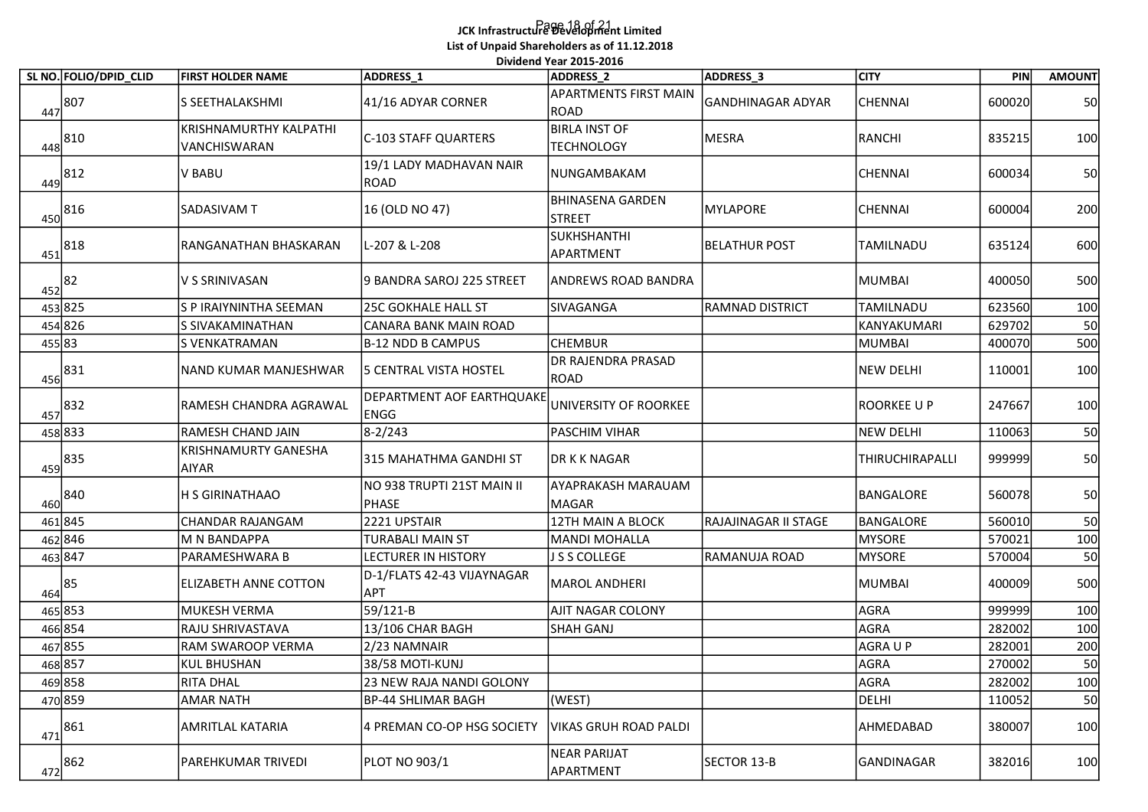## Page 18 of 21 JCK Infrastructure Development Limited List of Unpaid Shareholders as of 11.12.2018 .<br>Dividend Year 2015-2016

|     |                        |                                        |                                             | Dividend Year 2015-2016                          |                          |                  |                  |               |
|-----|------------------------|----------------------------------------|---------------------------------------------|--------------------------------------------------|--------------------------|------------------|------------------|---------------|
|     | SL NO. FOLIO/DPID_CLID | <b>FIRST HOLDER NAME</b>               | ADDRESS_1                                   | <b>ADDRESS 2</b><br><b>APARTMENTS FIRST MAIN</b> | ADDRESS_3                | <b>CITY</b>      | PIN              | <b>AMOUNT</b> |
|     | 447 807                | S SEETHALAKSHMI                        | 41/16 ADYAR CORNER                          | ROAD                                             | <b>GANDHINAGAR ADYAR</b> | <b>CHENNAI</b>   | 600020           | 50            |
|     | 448 810                | KRISHNAMURTHY KALPATHI<br>VANCHISWARAN | C-103 STAFF QUARTERS                        | <b>BIRLA INST OF</b><br><b>TECHNOLOGY</b>        | MESRA                    | RANCHI           | 835215           | 100           |
|     | 449 812                | V BABU                                 | 19/1 LADY MADHAVAN NAIR<br>ROAD             | NUNGAMBAKAM                                      |                          | CHENNAI          | 600034           | 50            |
| 450 | 816                    | <b>SADASIVAM T</b>                     | 16 (OLD NO 47)                              | <b>BHINASENA GARDEN</b><br>STREET                | MYLAPORE                 | <b>CHENNAI</b>   | 600004           | 200           |
| 451 | 818                    | RANGANATHAN BHASKARAN                  | L-207 & L-208                               | SUKHSHANTHI<br>APARTMENT                         | <b>BELATHUR POST</b>     | TAMILNADU        | 635124           | 600           |
|     | 452 82                 | V S SRINIVASAN                         | 9 BANDRA SAROJ 225 STREET                   | <b>ANDREWS ROAD BANDRA</b>                       |                          | <b>MUMBAI</b>    | 400050           | 500           |
|     | 453 825                | S P IRAIYNINTHA SEEMAN                 | 25C GOKHALE HALL ST                         | SIVAGANGA                                        | <b>RAMNAD DISTRICT</b>   | TAMILNADU        | 623560           | 100           |
|     | 454 826                | S SIVAKAMINATHAN                       | CANARA BANK MAIN ROAD                       |                                                  |                          | KANYAKUMARI      | 629702           | 50            |
|     | 455 83                 | S VENKATRAMAN                          | B-12 NDD B CAMPUS                           | <b>CHEMBUR</b>                                   |                          | <b>MUMBAI</b>    | 400070           | 500           |
|     | $456$ 831              | NAND KUMAR MANJESHWAR                  | 5 CENTRAL VISTA HOSTEL                      | <b>DR RAJENDRA PRASAD</b><br>ROAD                |                          | <b>NEW DELHI</b> | 110001           | 100           |
|     | 457 832                | RAMESH CHANDRA AGRAWAL                 | DEPARTMENT AOF EARTHQUAKE<br>ENGG           | UNIVERSITY OF ROORKEE                            |                          | ROORKEE U P      | 247667           | 100           |
|     | 458 833                | RAMESH CHAND JAIN                      | $8 - 2/243$                                 | PASCHIM VIHAR                                    |                          | <b>NEW DELHI</b> | 110063           | 50            |
|     | 459 835                | <b>KRISHNAMURTY GANESHA</b><br>AIYAR   | 315 MAHATHMA GANDHI ST                      | DR K K NAGAR                                     |                          | THIRUCHIRAPALLI  | 999999           | 50            |
|     | 460 840                | H S GIRINATHAAO                        | NO 938 TRUPTI 21ST MAIN II<br>PHASE         | <b>AYAPRAKASH MARAUAM</b><br>MAGAR               |                          | BANGALORE        | 560078           | 50            |
|     | 461845                 | CHANDAR RAJANGAM                       | 2221 UPSTAIR                                | 12TH MAIN A BLOCK                                | RAJAJINAGAR II STAGE     | BANGALORE        | 560010           | 50            |
|     | 462846                 | M N BANDAPPA                           | TURABALI MAIN ST                            | MANDI MOHALLA                                    |                          | <b>MYSORE</b>    | 570021           | 100           |
|     | 463 847                | PARAMESHWARA B                         | <b>LECTURER IN HISTORY</b>                  | J S S COLLEGE                                    | RAMANUJA ROAD            | <b>MYSORE</b>    | 570004           | 50            |
|     | $464$ 85               | <b>ELIZABETH ANNE COTTON</b>           | D-1/FLATS 42-43 VIJAYNAGAR<br><b>APT</b>    | MAROL ANDHERI                                    |                          | <b>MUMBAI</b>    | 400009           | 500           |
|     | 465 853                | MUKESH VERMA                           | 59/121-B                                    | <b>AJIT NAGAR COLONY</b>                         |                          | AGRA             | 999999           | 100           |
|     | 466 854                | RAJU SHRIVASTAVA                       | 13/106 CHAR BAGH                            | SHAH GANJ                                        |                          | AGRA             | 282002           | 100           |
|     | 467855                 | RAM SWAROOP VERMA                      | 2/23 NAMNAIR                                |                                                  |                          | AGRA U P         | 282001           | 200           |
|     | 468 857<br>469 858     | KUL BHUSHAN<br>RITA DHAL               | 38/58 MOTI-KUNJ<br>23 NEW RAJA NANDI GOLONY |                                                  |                          | AGRA<br>AGRA     | 270002<br>282002 | 50<br>100     |
|     | 470 859                | <b>AMAR NATH</b>                       | <b>BP-44 SHLIMAR BAGH</b>                   | (WEST)                                           |                          | DELHI            | 110052           | 50            |
|     | 861                    | AMRITLAL KATARIA                       | 4 PREMAN CO-OP HSG SOCIETY                  | <b>VIKAS GRUH ROAD PALDI</b>                     |                          | AHMEDABAD        | 380007           | 100           |
| 471 | $472$ 862              | PAREHKUMAR TRIVEDI                     | PLOT NO 903/1                               | NEAR PARIJAT<br>APARTMENT                        | SECTOR 13-B              | GANDINAGAR       | 382016           | 100           |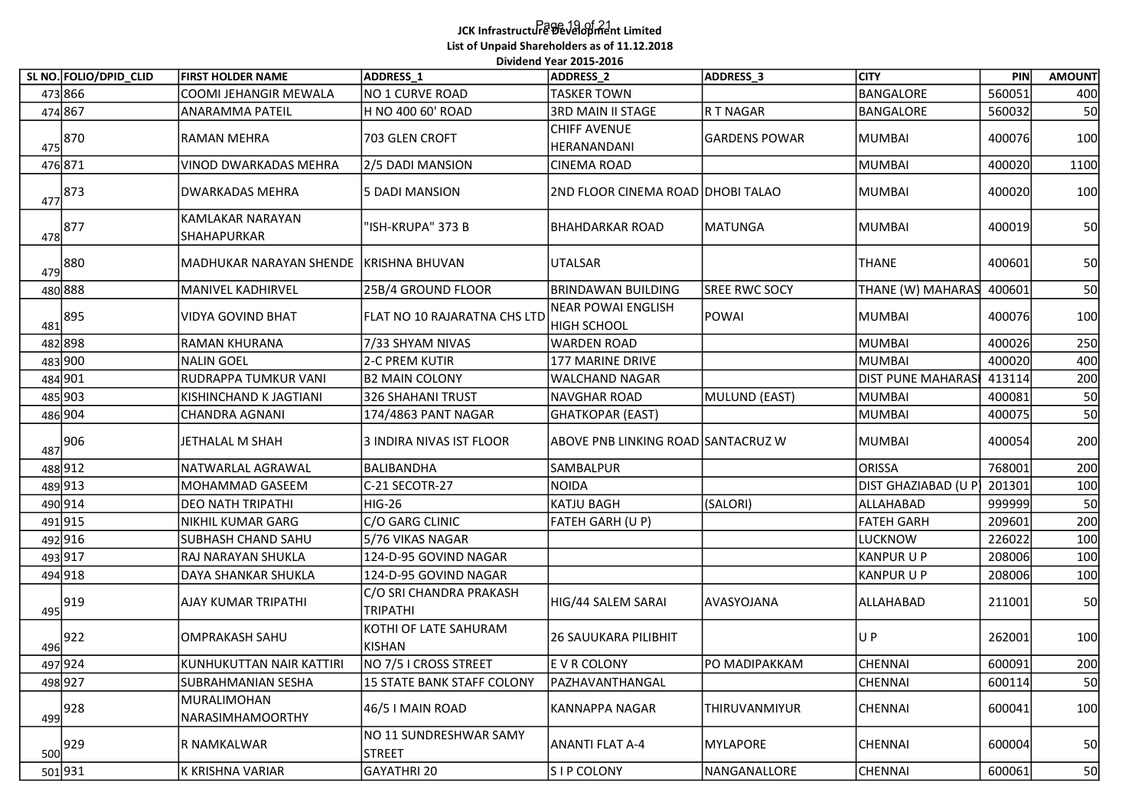## Page 19 of 21 JCK Infrastructure Development Limited List of Unpaid Shareholders as of 11.12.2018 .<br>Dividend Year 2015-2016

|                        |                                               |                                     | List of Unpaid Shareholders as of 11.12.2018<br>Dividend Year 2015-2016 |                      |                          |        |               |
|------------------------|-----------------------------------------------|-------------------------------------|-------------------------------------------------------------------------|----------------------|--------------------------|--------|---------------|
| SL NO. FOLIO/DPID CLID | <b>FIRST HOLDER NAME</b>                      | ADDRESS <sub>1</sub>                | ADDRESS_2                                                               | ADDRESS_3            | <b>CITY</b>              | PIN    | <b>AMOUNT</b> |
| 473 866                | COOMI JEHANGIR MEWALA                         | NO 1 CURVE ROAD                     | TASKER TOWN                                                             |                      | <b>BANGALORE</b>         | 560051 | 400           |
| 474867                 | <b>ANARAMMA PATEIL</b>                        | H NO 400 60' ROAD                   | 3RD MAIN II STAGE                                                       | R T NAGAR            | BANGALORE                | 560032 | 50            |
| $475$ 870              | <b>RAMAN MEHRA</b>                            | 703 GLEN CROFT                      | CHIFF AVENUE<br>HERANANDANI                                             | <b>GARDENS POWAR</b> | <b>MUMBAI</b>            | 400076 | 100           |
| 476 871                | <b>VINOD DWARKADAS MEHRA</b>                  | 2/5 DADI MANSION                    | CINEMA ROAD                                                             |                      | <b>MUMBAI</b>            | 400020 | 1100          |
| $477$ 873              | DWARKADAS MEHRA                               | 5 DADI MANSION                      | 2ND FLOOR CINEMA ROAD DHOBI TALAO                                       |                      | <b>MUMBAI</b>            | 400020 | 100           |
| $\frac{478}{9}$ 877    | <b>KAMLAKAR NARAYAN</b><br><b>SHAHAPURKAR</b> | "ISH-KRUPA" 373 B                   | <b>BHAHDARKAR ROAD</b>                                                  | MATUNGA              | MUMBAI                   | 400019 | 50            |
| $479$ 880              | MADHUKAR NARAYAN SHENDE                       | KRISHNA BHUVAN                      | UTALSAR                                                                 |                      | <b>THANE</b>             | 400601 | 50            |
| 480 888                | MANIVEL KADHIRVEL                             | 25B/4 GROUND FLOOR                  | <b>BRINDAWAN BUILDING</b>                                               | <b>SREE RWC SOCY</b> | THANE (W) MAHARAS        | 400601 | 50            |
| 895<br>481             | <b>VIDYA GOVIND BHAT</b>                      | FLAT NO 10 RAJARATNA CHS LTD        | NEAR POWAI ENGLISH<br><b>HIGH SCHOOL</b>                                | POWAI                | <b>MUMBAI</b>            | 400076 | 100           |
| 482898                 | RAMAN KHURANA                                 | 7/33 SHYAM NIVAS                    | WARDEN ROAD                                                             |                      | <b>MUMBAI</b>            | 400026 | 250           |
| 483 900                | NALIN GOEL                                    | 2-C PREM KUTIR                      | 177 MARINE DRIVE                                                        |                      | MUMBAI                   | 400020 | 400           |
| 484 901                | RUDRAPPA TUMKUR VANI                          | <b>B2 MAIN COLONY</b>               | <b>WALCHAND NAGAR</b>                                                   |                      | DIST PUNE MAHARAS 413114 |        | 200           |
| 485 903                | KISHINCHAND K JAGTIANI                        | 326 SHAHANI TRUST                   | NAVGHAR ROAD                                                            | MULUND (EAST)        | <b>MUMBAI</b>            | 400081 | 50            |
| 486 904                | CHANDRA AGNANI                                | 174/4863 PANT NAGAR                 | GHATKOPAR (EAST)                                                        |                      | <b>MUMBAI</b>            | 400075 | 50            |
| $487$ 906              | JETHALAL M SHAH                               | 3 INDIRA NIVAS IST FLOOR            | ABOVE PNB LINKING ROAD SANTACRUZ W                                      |                      | <b>MUMBAI</b>            | 400054 | 200           |
| 488912                 | NATWARLAL AGRAWAL                             | BALIBANDHA                          | SAMBALPUR                                                               |                      | <b>ORISSA</b>            | 768001 | 200           |
| 489 913                | MOHAMMAD GASEEM                               | C-21 SECOTR-27                      | NOIDA                                                                   |                      | DIST GHAZIABAD (U P      | 201301 | 100           |
| 490 914                | DEO NATH TRIPATHI                             | <b>HIG-26</b>                       | KATJU BAGH                                                              | (SALORI)             | ALLAHABAD                | 999999 | 50            |
| 491915                 | NIKHIL KUMAR GARG                             | C/O GARG CLINIC                     | FATEH GARH (U P)                                                        |                      | <b>FATEH GARH</b>        | 209601 | 200           |
| 492916                 | <b>SUBHASH CHAND SAHU</b>                     | 5/76 VIKAS NAGAR                    |                                                                         |                      | LUCKNOW                  | 226022 | 100           |
| 493 917                | RAJ NARAYAN SHUKLA                            | 124-D-95 GOVIND NAGAR               |                                                                         |                      | <b>KANPUR U P</b>        | 208006 | 100           |
| 494 918                | DAYA SHANKAR SHUKLA                           | 124-D-95 GOVIND NAGAR               |                                                                         |                      | <b>KANPUR U P</b>        | 208006 | 100           |
| $495$ 919              | AJAY KUMAR TRIPATHI                           | C/O SRI CHANDRA PRAKASH<br>TRIPATHI | HIG/44 SALEM SARAI                                                      | AVASYOJANA           | ALLAHABAD                | 211001 | 50            |
| 496 922                | OMPRAKASH SAHU                                | KOTHI OF LATE SAHURAM<br>KISHAN     | <b>26 SAUUKARA PILIBHIT</b>                                             |                      | UP                       | 262001 | 100           |
| 497 924                | KUNHUKUTTAN NAIR KATTIRI                      | NO 7/5 I CROSS STREET               | E V R COLONY                                                            | PO MADIPAKKAM        | CHENNAI                  | 600091 | 200           |
| 498 927                | <b>SUBRAHMANIAN SESHA</b>                     | 15 STATE BANK STAFF COLONY          | PAZHAVANTHANGAL                                                         |                      | CHENNAI                  | 600114 | 50            |
| $499$ 928              | MURALIMOHAN<br>NARASIMHAMOORTHY               | 46/5 I MAIN ROAD                    | KANNAPPA NAGAR                                                          | THIRUVANMIYUR        | <b>CHENNAI</b>           | 600041 | 100           |
| $\frac{500}{929}$      | R NAMKALWAR                                   | NO 11 SUNDRESHWAR SAMY<br>STREET    | ANANTI FLAT A-4                                                         | MYLAPORE             | CHENNAI                  | 600004 | 50            |
| 501931                 | K KRISHNA VARIAR                              | GAYATHRI 20                         | SIP COLONY                                                              | NANGANALLORE         | CHENNAI                  | 600061 | 50            |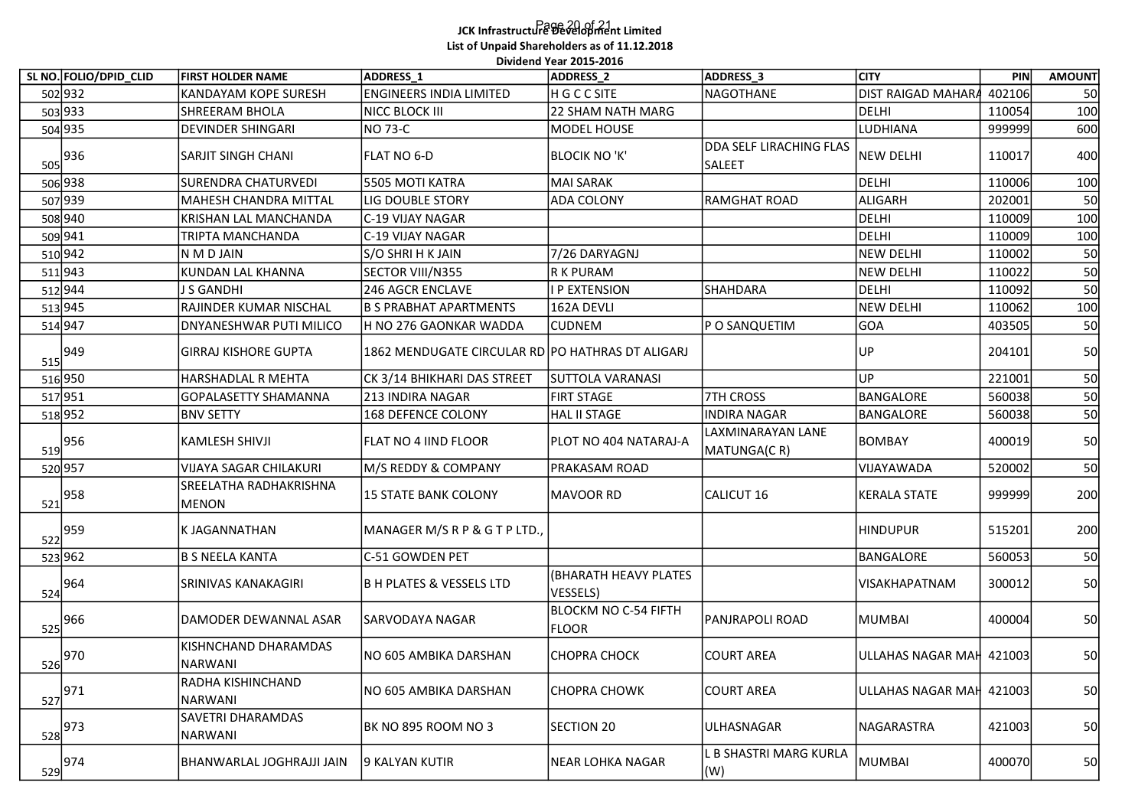## Page 20 of 21 JCK Infrastructure Development Limited List of Unpaid Shareholders as of 11.12.2018

|                      | SL NO. FOLIO/DPID_CLID | <b>FIRST HOLDER NAME</b>                            | <b>ADDRESS 1</b>                                                           | Dividend Year 2015-2016<br>ADDRESS_2 | ADDRESS_3                        | <b>CITY</b>                    | PIN              | <b>AMOUNT</b> |
|----------------------|------------------------|-----------------------------------------------------|----------------------------------------------------------------------------|--------------------------------------|----------------------------------|--------------------------------|------------------|---------------|
| 502 932              |                        | KANDAYAM KOPE SURESH                                | <b>ENGINEERS INDIA LIMITED</b>                                             | H G C C SITE                         | <b>NAGOTHANE</b>                 | DIST RAIGAD MAHARA             | 402106           | 50            |
| 503 933              |                        | SHREERAM BHOLA                                      | NICC BLOCK III                                                             | 22 SHAM NATH MARG                    |                                  | <b>DELHI</b>                   | 110054           | 100           |
| 504 935              |                        | <b>DEVINDER SHINGARI</b>                            | NO 73-C                                                                    | MODEL HOUSE                          |                                  | LUDHIANA                       | 999999           | 600           |
| $\frac{505}{936}$    |                        | SARJIT SINGH CHANI                                  | <b>FLAT NO 6-D</b>                                                         | <b>BLOCIK NO 'K'</b>                 | DDA SELF LIRACHING FLAS          | <b>NEW DELHI</b>               | 110017           | 400           |
|                      |                        |                                                     |                                                                            |                                      | <b>SALEET</b>                    | DELHI                          | 110006           |               |
| 506 938<br>507 939   |                        | <b>SURENDRA CHATURVEDI</b><br>MAHESH CHANDRA MITTAL | 5505 MOTI KATRA<br><b>LIG DOUBLE STORY</b>                                 | MAI SARAK<br><b>ADA COLONY</b>       | <b>RAMGHAT ROAD</b>              | ALIGARH                        | 202001           | 100<br>50     |
|                      |                        |                                                     |                                                                            |                                      |                                  |                                |                  | 100           |
| 508 940              |                        | KRISHAN LAL MANCHANDA                               | C-19 VIJAY NAGAR                                                           |                                      |                                  | DELHI                          | 110009           |               |
| 509 941<br>510 942   |                        | TRIPTA MANCHANDA<br>N M D JAIN                      | C-19 VIJAY NAGAR<br>S/O SHRI H K JAIN                                      | 7/26 DARYAGNJ                        |                                  | DELHI<br><b>NEW DELHI</b>      | 110009<br>110002 | 100           |
|                      |                        |                                                     |                                                                            | R K PURAM                            |                                  |                                |                  | 50            |
| 511943               |                        | KUNDAN LAL KHANNA                                   | SECTOR VIII/N355                                                           |                                      |                                  | <b>NEW DELHI</b>               | 110022           | 50            |
| 512 944              |                        | J S GANDHI<br>RAJINDER KUMAR NISCHAL                | 246 AGCR ENCLAVE<br><b>B S PRABHAT APARTMENTS</b>                          | I P EXTENSION                        | <b>SHAHDARA</b>                  | DELHI                          | 110092           | 50            |
| 513 945              |                        | <b>DNYANESHWAR PUTI MILICO</b>                      |                                                                            | 162A DEVLI                           |                                  | <b>NEW DELHI</b><br><b>GOA</b> | 110062<br>403505 | 100<br>50     |
| 514 947              |                        | GIRRAJ KISHORE GUPTA                                | H NO 276 GAONKAR WADDA<br>1862 MENDUGATE CIRCULAR RD PO HATHRAS DT ALIGARJ | <b>CUDNEM</b>                        | P O SANQUETIM                    | UP                             | 204101           | 50            |
| $\frac{515}{949}$    |                        |                                                     |                                                                            |                                      |                                  |                                |                  |               |
| 516 950              |                        | HARSHADLAL R MEHTA                                  | CK 3/14 BHIKHARI DAS STREET                                                | <b>SUTTOLA VARANASI</b>              |                                  | UP                             | 221001           | 50            |
| 517951               |                        | GOPALASETTY SHAMANNA                                | 213 INDIRA NAGAR                                                           | <b>FIRT STAGE</b>                    | <b>7TH CROSS</b>                 | <b>BANGALORE</b>               | 560038           | 50            |
| 518952               |                        | <b>BNV SETTY</b>                                    | 168 DEFENCE COLONY                                                         | HAL II STAGE                         | <b>INDIRA NAGAR</b>              | BANGALORE                      | 560038           | 50            |
| $\frac{519}{ }956$   |                        | <b>KAMLESH SHIVJI</b>                               | <b>FLAT NO 4 IIND FLOOR</b>                                                | PLOT NO 404 NATARAJ-A                | LAXMINARAYAN LANE<br>MATUNGA(CR) | <b>BOMBAY</b>                  | 400019           | 50            |
| 520 957              |                        | <b>VIJAYA SAGAR CHILAKURI</b>                       | M/S REDDY & COMPANY                                                        | <b>PRAKASAM ROAD</b>                 |                                  | VIJAYAWADA                     | 520002           | 50            |
| $\frac{521}{958}$    |                        | SREELATHA RADHAKRISHNA<br><b>MENON</b>              | 15 STATE BANK COLONY                                                       | MAVOOR RD                            | CALICUT 16                       | <b>KERALA STATE</b>            | 999999           | 200           |
| $\frac{522}{ } 959 $ |                        | K JAGANNATHAN                                       | MANAGER M/S R P & G T P LTD.,                                              |                                      |                                  | <b>HINDUPUR</b>                | 515201           | 200           |
|                      |                        |                                                     |                                                                            |                                      |                                  |                                |                  |               |
| 523 962              |                        | <b>B S NEELA KANTA</b>                              | C-51 GOWDEN PET                                                            |                                      |                                  | BANGALORE                      | 560053           | 50            |
| $\frac{524}{964}$    |                        | SRINIVAS KANAKAGIRI                                 | B H PLATES & VESSELS LTD                                                   | (BHARATH HEAVY PLATES<br>VESSELS)    |                                  | <b>VISAKHAPATNAM</b>           | 300012           | 50            |
| $\frac{525}{966}$    |                        | DAMODER DEWANNAL ASAR                               | SARVODAYA NAGAR                                                            | BLOCKM NO C-54 FIFTH<br><b>FLOOR</b> | PANJRAPOLI ROAD                  | MUMBAI                         | 400004           | 50            |
| 526 970              |                        | KISHNCHAND DHARAMDAS<br>NARWANI                     | NO 605 AMBIKA DARSHAN                                                      | <b>CHOPRA CHOCK</b>                  | <b>COURT AREA</b>                | ULLAHAS NAGAR MAH 421003       |                  | 50            |
| $\frac{527}{971}$    |                        | RADHA KISHINCHAND<br>NARWANI                        | NO 605 AMBIKA DARSHAN                                                      | CHOPRA CHOWK                         | <b>COURT AREA</b>                | ULLAHAS NAGAR MAH 421003       |                  | 50            |
| $\frac{528}{973}$    |                        | SAVETRI DHARAMDAS                                   | BK NO 895 ROOM NO 3                                                        | SECTION 20                           | ULHASNAGAR                       | NAGARASTRA                     | 421003           | 50            |
|                      | $\frac{529}{974}$      | NARWANI<br>BHANWARLAL JOGHRAJJI JAIN                | 9 KALYAN KUTIR                                                             | NEAR LOHKA NAGAR                     | L B SHASTRI MARG KURLA<br>(W)    | <b>MUMBAI</b>                  | 400070           | 50            |